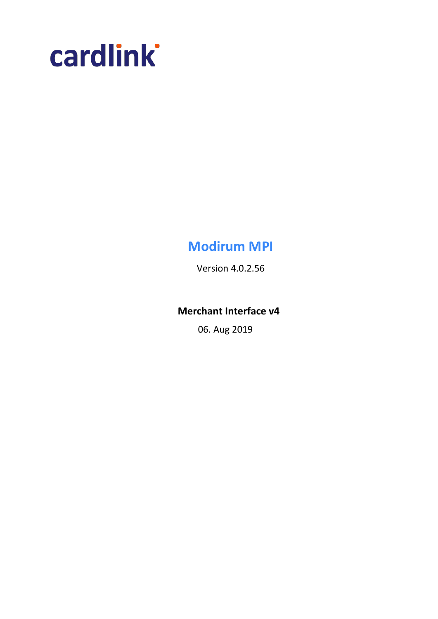

# **Modirum MPI**

Version 4.0.2.56

## **Merchant Interface v4**

06. Aug 2019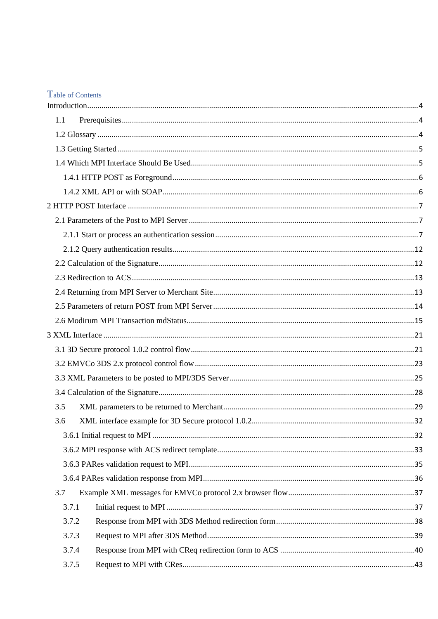## Table of Contents

| 1.1   |  |
|-------|--|
|       |  |
|       |  |
|       |  |
|       |  |
|       |  |
|       |  |
|       |  |
|       |  |
|       |  |
|       |  |
|       |  |
|       |  |
|       |  |
|       |  |
|       |  |
|       |  |
|       |  |
|       |  |
|       |  |
| 3.5   |  |
| 3.6   |  |
|       |  |
|       |  |
|       |  |
|       |  |
| 3.7   |  |
| 3.7.1 |  |
| 3.7.2 |  |
| 3.7.3 |  |
| 3.7.4 |  |
| 3.7.5 |  |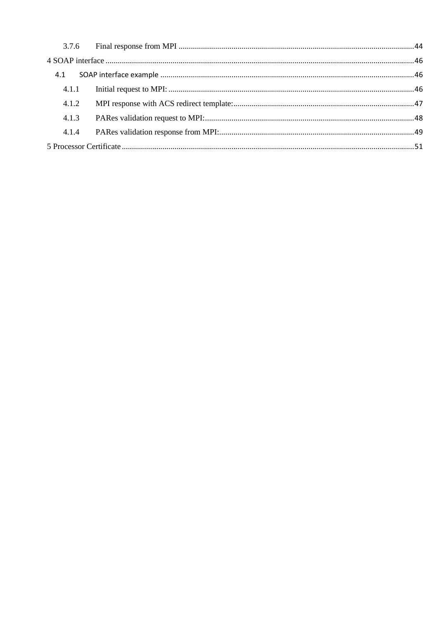| 4.1   |  |
|-------|--|
|       |  |
| 4.1.2 |  |
| 4.1.3 |  |
| 4.1.4 |  |
|       |  |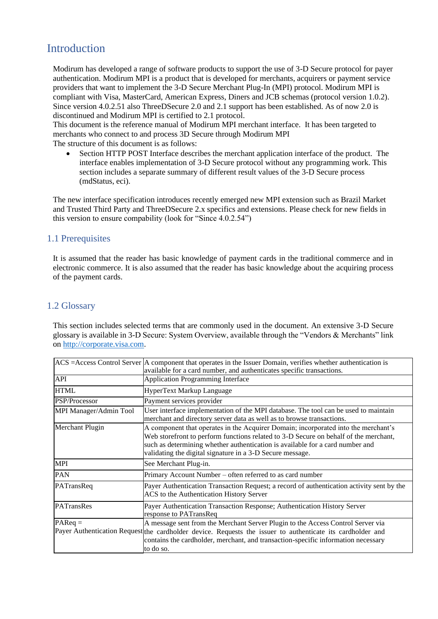# <span id="page-3-0"></span>Introduction

Modirum has developed a range of software products to support the use of 3-D Secure protocol for payer authentication. Modirum MPI is a product that is developed for merchants, acquirers or payment service providers that want to implement the 3-D Secure Merchant Plug-In (MPI) protocol. Modirum MPI is compliant with Visa, MasterCard, American Express, Diners and JCB schemas (protocol version 1.0.2). Since version 4.0.2.51 also ThreeDSecure 2.0 and 2.1 support has been established. As of now 2.0 is discontinued and Modirum MPI is certified to 2.1 protocol.

This document is the reference manual of Modirum MPI merchant interface. It has been targeted to merchants who connect to and process 3D Secure through Modirum MPI The structure of this document is as follows:

• Section HTTP POST Interface describes the merchant application interface of the product. The interface enables implementation of 3-D Secure protocol without any programming work. This section includes a separate summary of different result values of the 3-D Secure process (mdStatus, eci).

The new interface specification introduces recently emerged new MPI extension such as Brazil Market and Trusted Third Party and ThreeDSecure 2.x specifics and extensions. Please check for new fields in this version to ensure compability (look for "Since 4.0.2.54")

## <span id="page-3-1"></span>1.1 Prerequisites

It is assumed that the reader has basic knowledge of payment cards in the traditional commerce and in electronic commerce. It is also assumed that the reader has basic knowledge about the acquiring process of the payment cards.

## <span id="page-3-2"></span>1.2 Glossary

This section includes selected terms that are commonly used in the document. An extensive 3-D Secure glossary is available in 3-D Secure: System Overview, available through the "Vendors & Merchants" link on [http://corporate.visa.com.](http://corporate.visa.com/)

|                        | $ACS = Access Control Server$ A component that operates in the Issuer Domain, verifies whether authentication is<br>available for a card number, and authenticates specific transactions.                                                                                                                                |
|------------------------|--------------------------------------------------------------------------------------------------------------------------------------------------------------------------------------------------------------------------------------------------------------------------------------------------------------------------|
| API                    | <b>Application Programming Interface</b>                                                                                                                                                                                                                                                                                 |
| <b>HTML</b>            | HyperText Markup Language                                                                                                                                                                                                                                                                                                |
| PSP/Processor          | Payment services provider                                                                                                                                                                                                                                                                                                |
| MPI Manager/Admin Tool | User interface implementation of the MPI database. The tool can be used to maintain<br>merchant and directory server data as well as to browse transactions.                                                                                                                                                             |
| Merchant Plugin        | A component that operates in the Acquirer Domain; incorporated into the merchant's<br>Web storefront to perform functions related to 3-D Secure on behalf of the merchant,<br>such as determining whether authentication is available for a card number and<br>validating the digital signature in a 3-D Secure message. |
| MPI                    | See Merchant Plug-in.                                                                                                                                                                                                                                                                                                    |
| <b>PAN</b>             | Primary Account Number – often referred to as card number                                                                                                                                                                                                                                                                |
| PATransReq             | Payer Authentication Transaction Request; a record of authentication activity sent by the<br>ACS to the Authentication History Server                                                                                                                                                                                    |
| PATransRes             | Payer Authentication Transaction Response; Authentication History Server<br>response to PATransReq                                                                                                                                                                                                                       |
| $P_{\text{AReq}} =$    | A message sent from the Merchant Server Plugin to the Access Control Server via<br>Payer Authentication Request the cardholder device. Requests the issuer to authenticate its cardholder and<br>contains the cardholder, merchant, and transaction-specific information necessary<br>to do so.                          |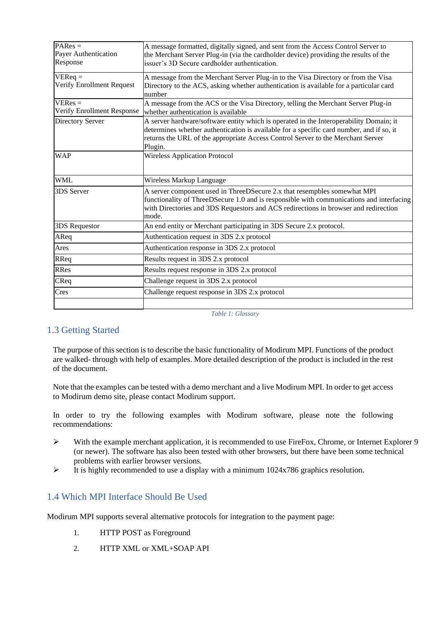| $PAREs =$<br>Payer Authentication<br>Response | A message formatted, digitally signed, and sent from the Access Control Server to<br>the Merchant Server Plug-in (via the cardholder device) providing the results of the<br>issuer's 3D Secure cardholder authentication.                                                       |
|-----------------------------------------------|----------------------------------------------------------------------------------------------------------------------------------------------------------------------------------------------------------------------------------------------------------------------------------|
| $VEReq =$<br>Verify Enrollment Request        | A message from the Merchant Server Plug-in to the Visa Directory or from the Visa<br>Directory to the ACS, asking whether authentication is available for a particular card<br>number                                                                                            |
| $VERes =$<br>Verify Enrollment Response       | A message from the ACS or the Visa Directory, telling the Merchant Server Plug-in<br>whether authentication is available                                                                                                                                                         |
| Directory Server                              | A server hardware/software entity which is operated in the Interoperability Domain; it<br>determines whether authentication is available for a specific card number, and if so, it<br>returns the URL of the appropriate Access Control Server to the Merchant Server<br>Plugin. |
| <b>WAP</b>                                    | <b>Wireless Application Protocol</b>                                                                                                                                                                                                                                             |
| <b>WML</b>                                    | Wireless Markup Language                                                                                                                                                                                                                                                         |
| 3DS Server                                    | A server component used in ThreeDSecure 2.x that resempbles somewhat MPI<br>functionality of ThreeDSecure 1.0 and is responsible with communications and interfacing<br>with Directories and 3DS Requestors and ACS redirections in browser and redirection<br>mode.             |
| 3DS Requestor                                 | An end entity or Merchant participating in 3DS Secure 2.x protocol.                                                                                                                                                                                                              |
| AReq                                          | Authentication request in 3DS 2.x protocol                                                                                                                                                                                                                                       |
| Ares                                          | Authentication response in 3DS 2.x protocol                                                                                                                                                                                                                                      |
| RReq                                          | Results request in 3DS 2.x protocol                                                                                                                                                                                                                                              |
| RRes                                          | Results request response in 3DS 2.x protocol                                                                                                                                                                                                                                     |
| CReq                                          | Challenge request in 3DS 2.x protocol                                                                                                                                                                                                                                            |
| Cres                                          | Challenge request response in 3DS 2.x protocol                                                                                                                                                                                                                                   |
|                                               |                                                                                                                                                                                                                                                                                  |

*Table 1: Glossary*

## <span id="page-4-0"></span>1.3 Getting Started

The purpose of this section is to describe the basic functionality of Modirum MPI. Functions of the product are walked- through with help of examples. More detailed description of the product is included in the rest of the document.

Note that the examples can be tested with a demo merchant and a live Modirum MPI. In order to get access to Modirum demo site, please contact Modirum support.

In order to try the following examples with Modirum software, please note the following recommendations:

- ➢ With the example merchant application, it is recommended to use FireFox, Chrome, or Internet Explorer 9 (or newer). The software has also been tested with other browsers, but there have been some technical problems with earlier browser versions.
- $\triangleright$  It is highly recommended to use a display with a minimum 1024x786 graphics resolution.

## <span id="page-4-1"></span>1.4 Which MPI Interface Should Be Used

Modirum MPI supports several alternative protocols for integration to the payment page:

- 1. HTTP POST as Foreground
- 2. HTTP XML or XML+SOAP API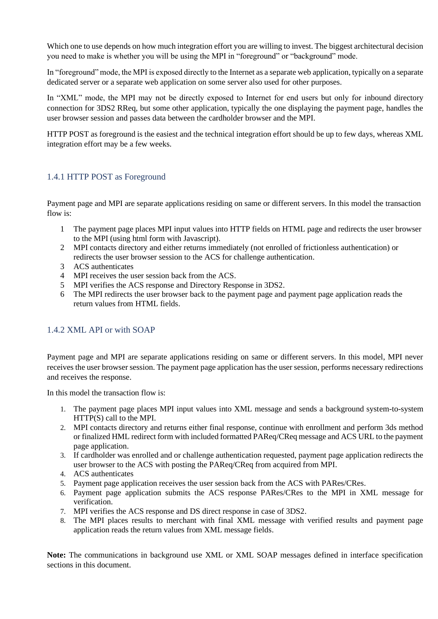Which one to use depends on how much integration effort you are willing to invest. The biggest architectural decision you need to make is whether you will be using the MPI in "foreground" or "background" mode.

In "foreground" mode, the MPI is exposed directly to the Internet as a separate web application, typically on a separate dedicated server or a separate web application on some server also used for other purposes.

In "XML" mode, the MPI may not be directly exposed to Internet for end users but only for inbound directory connection for 3DS2 RReq, but some other application, typically the one displaying the payment page, handles the user browser session and passes data between the cardholder browser and the MPI.

HTTP POST as foreground is the easiest and the technical integration effort should be up to few days, whereas XML integration effort may be a few weeks.

## <span id="page-5-0"></span>1.4.1 HTTP POST as Foreground

Payment page and MPI are separate applications residing on same or different servers. In this model the transaction flow is:

- 1 The payment page places MPI input values into HTTP fields on HTML page and redirects the user browser to the MPI (using html form with Javascript).
- 2 MPI contacts directory and either returns immediately (not enrolled of frictionless authentication) or redirects the user browser session to the ACS for challenge authentication.
- 3 ACS authenticates
- 4 MPI receives the user session back from the ACS.
- 5 MPI verifies the ACS response and Directory Response in 3DS2.
- 6 The MPI redirects the user browser back to the payment page and payment page application reads the return values from HTML fields.

## <span id="page-5-1"></span>1.4.2 XML API or with SOAP

Payment page and MPI are separate applications residing on same or different servers. In this model, MPI never receives the user browser session. The payment page application has the user session, performs necessary redirections and receives the response.

In this model the transaction flow is:

- 1. The payment page places MPI input values into XML message and sends a background system-to-system HTTP(S) call to the MPI.
- 2. MPI contacts directory and returns either final response, continue with enrollment and perform 3ds method or finalized HML redirect form with included formatted PAReq/CReq message and ACS URL to the payment page application.
- 3. If cardholder was enrolled and or challenge authentication requested, payment page application redirects the user browser to the ACS with posting the PAReq/CReq from acquired from MPI.
- 4. ACS authenticates
- 5. Payment page application receives the user session back from the ACS with PARes/CRes.
- 6. Payment page application submits the ACS response PARes/CRes to the MPI in XML message for verification.
- 7. MPI verifies the ACS response and DS direct response in case of 3DS2.
- 8. The MPI places results to merchant with final XML message with verified results and payment page application reads the return values from XML message fields.

**Note:** The communications in background use XML or XML SOAP messages defined in interface specification sections in this document.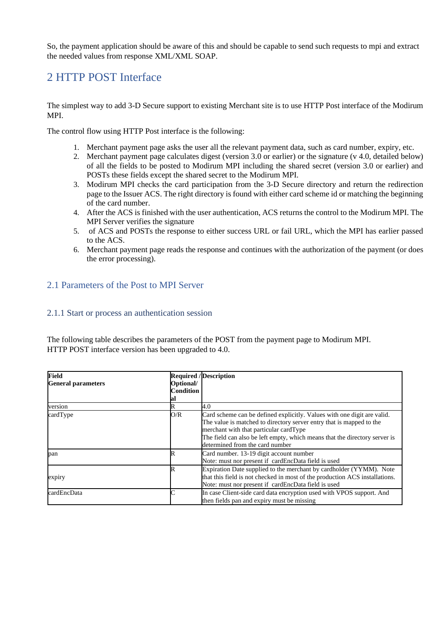So, the payment application should be aware of this and should be capable to send such requests to mpi and extract the needed values from response XML/XML SOAP.

## <span id="page-6-0"></span>2 HTTP POST Interface

The simplest way to add 3-D Secure support to existing Merchant site is to use HTTP Post interface of the Modirum MPI.

The control flow using HTTP Post interface is the following:

- 1. Merchant payment page asks the user all the relevant payment data, such as card number, expiry, etc.
- 2. Merchant payment page calculates digest (version 3.0 or earlier) or the signature (v 4.0, detailed below) of all the fields to be posted to Modirum MPI including the shared secret (version 3.0 or earlier) and POSTs these fields except the shared secret to the Modirum MPI.
- 3. Modirum MPI checks the card participation from the 3-D Secure directory and return the redirection page to the Issuer ACS. The right directory is found with either card scheme id or matching the beginning of the card number.
- 4. After the ACS is finished with the user authentication, ACS returns the control to the Modirum MPI. The MPI Server verifies the signature
- 5. of ACS and POSTs the response to either success URL or fail URL, which the MPI has earlier passed to the ACS.
- 6. Merchant payment page reads the response and continues with the authorization of the payment (or does the error processing).

## <span id="page-6-1"></span>2.1 Parameters of the Post to MPI Server

#### <span id="page-6-2"></span>2.1.1 Start or process an authentication session

The following table describes the parameters of the POST from the payment page to Modirum MPI. HTTP POST interface version has been upgraded to 4.0.

| <b>Field</b>              |                  | <b>Required / Description</b>                                               |
|---------------------------|------------------|-----------------------------------------------------------------------------|
| <b>General parameters</b> | Optional/        |                                                                             |
|                           | <b>Condition</b> |                                                                             |
|                           | lal              |                                                                             |
| version                   | R                | 4.0                                                                         |
| cardType                  | O/R              | Card scheme can be defined explicitly. Values with one digit are valid.     |
|                           |                  | The value is matched to directory server entry that is mapped to the        |
|                           |                  | merchant with that particular cardType                                      |
|                           |                  | The field can also be left empty, which means that the directory server is  |
|                           |                  | determined from the card number                                             |
| pan                       | R                | Card number. 13-19 digit account number                                     |
|                           |                  | Note: must nor present if cardEncData field is used                         |
|                           | IR               | Expiration Date supplied to the merchant by cardholder (YYMM). Note         |
| expiry                    |                  | that this field is not checked in most of the production ACS installations. |
|                           |                  | Note: must nor present if cardEncData field is used                         |
| cardEncData               |                  | In case Client-side card data encryption used with VPOS support. And        |
|                           |                  | then fields pan and expiry must be missing                                  |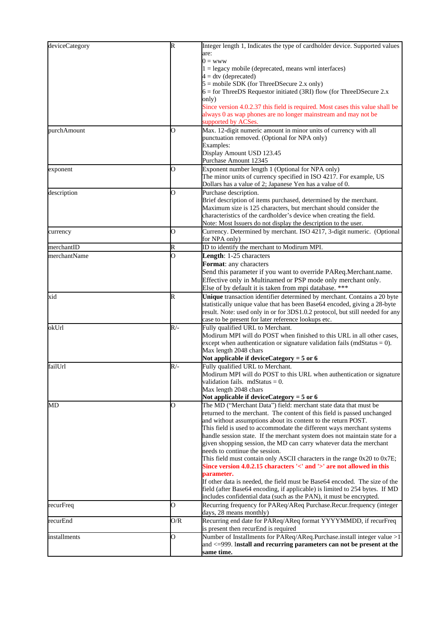| deviceCategory | k              | Integer length 1, Indicates the type of cardholder device. Supported values         |
|----------------|----------------|-------------------------------------------------------------------------------------|
|                |                | are:                                                                                |
|                |                | $0 = www$                                                                           |
|                |                | $1 =$ legacy mobile (deprecated, means wml interfaces)                              |
|                |                | $4 = dtv$ (deprecated)                                                              |
|                |                | $5 = \text{mobile}$ SDK (for ThreeDSecure 2.x only)                                 |
|                |                | $6 =$ for ThreeDS Requestor initiated (3RI) flow (for ThreeDSecure 2.x              |
|                |                | only)                                                                               |
|                |                | Since version 4.0.2.37 this field is required. Most cases this value shall be       |
|                |                | always 0 as wap phones are no longer mainstream and may not be                      |
|                |                | supported by ACSes.                                                                 |
| purchAmount    | O              | Max. 12-digit numeric amount in minor units of currency with all                    |
|                |                | punctuation removed. (Optional for NPA only)                                        |
|                |                | Examples:                                                                           |
|                |                | Display Amount USD 123.45                                                           |
|                |                | Purchase Amount 12345                                                               |
| exponent       | 0              | Exponent number length 1 (Optional for NPA only)                                    |
|                |                | The minor units of currency specified in ISO 4217. For example, US                  |
|                |                | Dollars has a value of 2; Japanese Yen has a value of 0.                            |
| description    | $\overline{O}$ | Purchase description.                                                               |
|                |                | Brief description of items purchased, determined by the merchant.                   |
|                |                | Maximum size is 125 characters, but merchant should consider the                    |
|                |                | characteristics of the cardholder's device when creating the field.                 |
|                |                | Note: Most Issuers do not display the description to the user.                      |
| currency       | O              | Currency. Determined by merchant. ISO 4217, 3-digit numeric. (Optional              |
|                |                | for NPA only)                                                                       |
| merchantID     | R              | ID to identify the merchant to Modirum MPI.                                         |
| merchantName   | O              | Length: 1-25 characters                                                             |
|                |                | Format: any characters                                                              |
|                |                | Send this parameter if you want to override PAReq.Merchant.name.                    |
|                |                | Effective only in Multinamed or PSP mode only merchant only.                        |
|                |                | Else of by default it is taken from mpi database. ***                               |
| xid            | R              | Unique transaction identifier determined by merchant. Contains a 20 byte            |
|                |                | statistically unique value that has been Base64 encoded, giving a 28-byte           |
|                |                | result. Note: used only in or for 3DS1.0.2 protocol, but still needed for any       |
|                |                | case to be present for later reference lookups etc.                                 |
| okUrl          | $R/-$          | Fully qualified URL to Merchant.                                                    |
|                |                | Modirum MPI will do POST when finished to this URL in all other cases,              |
|                |                | except when authentication or signature validation fails (mdStatus = $0$ ).         |
|                |                | Max length 2048 chars                                                               |
|                |                | Not applicable if device Category = $5$ or 6                                        |
| failUrl        | $R/-$          | Fully qualified URL to Merchant.                                                    |
|                |                | Modirum MPI will do POST to this URL when authentication or signature               |
|                |                | validation fails. $mdStatus = 0$ .                                                  |
|                |                | Max length 2048 chars                                                               |
|                |                | Not applicable if device Category = $5$ or 6                                        |
| MD             | O              | The MD ("Merchant Data") field: merchant state data that must be                    |
|                |                | returned to the merchant. The content of this field is passed unchanged             |
|                |                | and without assumptions about its content to the return POST.                       |
|                |                | This field is used to accommodate the different ways merchant systems               |
|                |                | handle session state. If the merchant system does not maintain state for a          |
|                |                | given shopping session, the MD can carry whatever data the merchant                 |
|                |                | needs to continue the session.                                                      |
|                |                | This field must contain only ASCII characters in the range 0x20 to 0x7E;            |
|                |                | Since version 4.0.2.15 characters '<' and '>' are not allowed in this<br>parameter. |
|                |                | If other data is needed, the field must be Base64 encoded. The size of the          |
|                |                | field (after Base64 encoding, if applicable) is limited to 254 bytes. If MD         |
|                |                | includes confidential data (such as the PAN), it must be encrypted.                 |
| recurFreq      | $\overline{O}$ | Recurring frequency for PAReq/AReq Purchase.Recur.frequency (integer                |
|                |                | days, 28 means monthly)                                                             |
| recurEnd       | O/R            | Recurring end date for PAReq/AReq format YYYYMMDD, if recurFreq                     |
|                |                | is present then recurEnd is required                                                |
| installments   | $\overline{O}$ | Number of Installments for PAReq/AReq.Purchase.install integer value >1             |
|                |                | and <= 999. Install and recurring parameters can not be present at the              |
|                |                | same time.                                                                          |
|                |                |                                                                                     |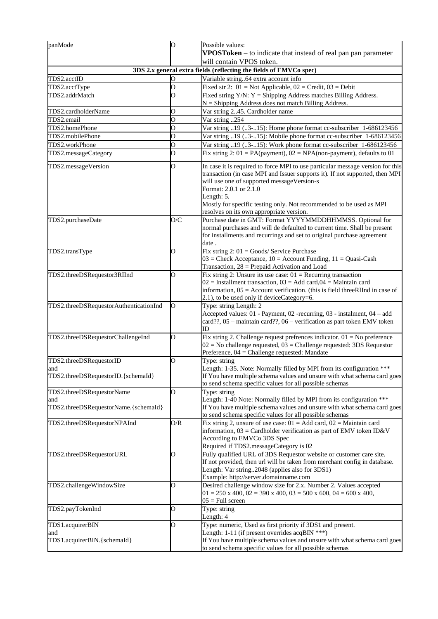| O                  | Possible values:<br>VPOSToken - to indicate that instead of real pan pan parameter                                                                                                                                                          |
|--------------------|---------------------------------------------------------------------------------------------------------------------------------------------------------------------------------------------------------------------------------------------|
|                    | will contain VPOS token.                                                                                                                                                                                                                    |
|                    | 3DS 2.x general extra fields (reflecting the fields of EMVCo spec)                                                                                                                                                                          |
| O                  | Variable string64 extra account info                                                                                                                                                                                                        |
| $\overline{\rm o}$ | Fixed str 2: $01 = Not$ Applicable, $02 = Credit$ , $03 = Debit$                                                                                                                                                                            |
| $\overline{\rm o}$ | Fixed string $Y/N$ : $Y =$ Shipping Address matches Billing Address.                                                                                                                                                                        |
|                    | N = Shipping Address does not match Billing Address.                                                                                                                                                                                        |
|                    | Var string 245. Cardholder name<br>$\overline{Var}$ string 254                                                                                                                                                                              |
|                    |                                                                                                                                                                                                                                             |
|                    | Var string 19 (3-15): Home phone format cc-subscriber 1-686123456<br>Var string 19 (3-15): Mobile phone format cc-subscriber 1-686123456                                                                                                    |
|                    | Var string 19 (3-15): Work phone format cc-subscriber 1-686123456                                                                                                                                                                           |
| $\overline{O}$     | Fix string 2: $01 = PA(payment)$ , $02 = NPA(non-payment)$ , defaults to 01                                                                                                                                                                 |
|                    | In case it is required to force MPI to use particular message version for this                                                                                                                                                              |
|                    | transaction (in case MPI and Issuer supports it). If not supported, then MPI<br>will use one of supported messageVersion-s<br>Format: 2.0.1 or 2.1.0<br>Length: 5.                                                                          |
|                    | Mostly for specific testing only. Not recommended to be used as MPI<br>resolves on its own appropriate version.                                                                                                                             |
| O/C                | Purchase date in GMT: Format YYYYMMDDHHMMSS. Optional for                                                                                                                                                                                   |
|                    | normal purchases and will de defaulted to current time. Shall be present<br>for installments and recurrings and set to original purchase agreement<br>date .                                                                                |
| O                  | Fix string $2:01 = \text{Goods}/\text{Service}$ Purchase<br>$03$ = Check Acceptance, $10$ = Account Funding, $11$ = Quasi-Cash                                                                                                              |
|                    | Transaction, 28 = Prepaid Activation and Load                                                                                                                                                                                               |
| О                  | Fix string 2: Unsure its use case: $01$ = Recurring transaction<br>$02$ = Installment transaction, $03$ = Add card, $04$ = Maintain card<br>information, $05 =$ Account verification. (this is field three RIInd in case of                 |
|                    | 2.1), to be used only if deviceCategory=6.                                                                                                                                                                                                  |
| O                  | Type: string Length: 2<br>Accepted values: 01 - Payment, 02 -recurring, 03 - instalment, 04 - add<br>card??, 05 - maintain card??, 06 - verification as part token EMV token                                                                |
| O                  | ID<br>Fix string 2. Challenge request prefrences indicator. $01 = No$ preference                                                                                                                                                            |
|                    | $02$ = No challenge requested, $03$ = Challenge requested: 3DS Requestor<br>Preference, 04 = Challenge requested: Mandate                                                                                                                   |
| O                  | Type: string                                                                                                                                                                                                                                |
|                    | Length: 1-35. Note: Normally filled by MPI from its configuration ***<br>If You have multiple schema values and unsure with what schema card goes<br>to send schema specific values for all possible schemas                                |
| O                  | Type: string                                                                                                                                                                                                                                |
|                    | Length: 1-40 Note: Normally filled by MPI from its configuration ***<br>If You have multiple schema values and unsure with what schema card goes                                                                                            |
|                    | to send schema specific values for all possible schemas                                                                                                                                                                                     |
|                    | Fix string 2, unsure of use case: $01 =$ Add card, $02 =$ Maintain card<br>information, $03 =$ Cardholder verification as part of EMV token ID&V<br>According to EMVCo 3DS Spec<br>Required if TDS2.messageCategory is 02                   |
| О                  | Fully qualified URL of 3DS Requestor website or customer care site.<br>If not provided, then url will be taken from merchant config in database.<br>Length: Var string2048 (applies also for 3DS1)<br>Example: http://server.domainname.com |
| O                  | Desired challenge window size for 2.x. Number 2. Values accepted<br>$01 = 250$ x 400, $02 = 390$ x 400, $03 = 500$ x 600, $04 = 600$ x 400,<br>$05 =$ Full screen                                                                           |
| 0                  | Type: string<br>Length: 4                                                                                                                                                                                                                   |
| O                  | Type: numeric, Used as first priority if 3DS1 and present.                                                                                                                                                                                  |
|                    | Length: $1-11$ (if present overrides acqBIN ***)<br>If You have multiple schema values and unsure with what schema card goes<br>to send schema specific values for all possible schemas                                                     |
|                    | 0<br>$\overline{O}$<br>O<br>$\overline{\rm o}$<br>$\overline{O}$<br>O<br>O/R                                                                                                                                                                |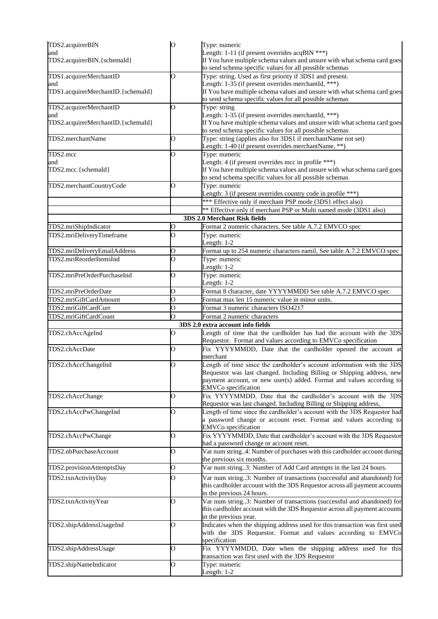| TDS2.acquirerBIN                   | O                  | Type: numeric                                                                                                                                                                                                                                                   |
|------------------------------------|--------------------|-----------------------------------------------------------------------------------------------------------------------------------------------------------------------------------------------------------------------------------------------------------------|
| and<br>TDS2.acquirerBIN.{schemaId} |                    | Length: $1-11$ (if present overrides acqBIN ***)                                                                                                                                                                                                                |
|                                    |                    | If You have multiple schema values and unsure with what schema card goes<br>to send schema specific values for all possible schemas                                                                                                                             |
| TDS1.acquirerMerchantID            | O                  | Type: string. Used as first priority if 3DS1 and present.                                                                                                                                                                                                       |
| and                                |                    | Length: 1-35 (if present overrides merchantId, ***)                                                                                                                                                                                                             |
| TDS1.acquirerMerchantID.{schemaId} |                    | If You have multiple schema values and unsure with what schema card goes                                                                                                                                                                                        |
| TDS2.acquirerMerchantID            | O                  | to send schema specific values for all possible schemas<br>Type: string                                                                                                                                                                                         |
| and                                |                    | Length: 1-35 (if present overrides merchantId, ***)                                                                                                                                                                                                             |
| TDS2.acquirerMerchantID.{schemaId} |                    | If You have multiple schema values and unsure with what schema card goes                                                                                                                                                                                        |
|                                    |                    | to send schema specific values for all possible schemas                                                                                                                                                                                                         |
| TDS2.merchantName                  | $\overline{O}$     | Type: string (applies also for 3DS1 if merchantName not set)<br>Length: 1-40 (if present overrides merchantName, **)                                                                                                                                            |
| TDS2.mcc                           | $\overline{O}$     | Type: numeric                                                                                                                                                                                                                                                   |
| and<br>TDS2.mcc.{schemaId}         |                    | Length: 4 (if present overrides mcc in profile ***)<br>If You have multiple schema values and unsure with what schema card goes                                                                                                                                 |
|                                    |                    | to send schema specific values for all possible schemas                                                                                                                                                                                                         |
| TDS2.merchantCountryCode           | $\overline{O}$     | Type: numeric                                                                                                                                                                                                                                                   |
|                                    |                    | Length: 3 (if present overrides country code in profile ***)                                                                                                                                                                                                    |
|                                    |                    | *** Effective only if merchant PSP mode (3DS1 effect also)                                                                                                                                                                                                      |
|                                    |                    | ** Effective only if merchant PSP or Multi named mode (3DS1 also)<br>3DS 2.0 Merchant Risk fields                                                                                                                                                               |
| TDS2.mriShipIndicator              | О                  | Format 2 numeric characters, See table A.7.2 EMVCO spec                                                                                                                                                                                                         |
| TDS2.mriDeliveryTimeframe          | $\overline{O}$     | Type: numeric                                                                                                                                                                                                                                                   |
|                                    |                    | Length: $1-2$                                                                                                                                                                                                                                                   |
| TDS2.mriDeliveryEmailAddress       | $\overline{O}$     | Format up to 254 numeric characters eamil, See table A.7.2 EMVCO spec                                                                                                                                                                                           |
| TDS2.mriReorderItemsInd            | $\overline{\rm o}$ | Type: numeric                                                                                                                                                                                                                                                   |
|                                    |                    | Length: $1-2$                                                                                                                                                                                                                                                   |
| TDS2.mriPreOrderPurchaseInd        | O                  | Type: numeric<br>Length: 1-2                                                                                                                                                                                                                                    |
| TDS2.mriPreOrderDate               | $\overline{O}$     | Format 8 character, date YYYYMMDD See table A.7.2 EMVCO spec                                                                                                                                                                                                    |
| TDS2.mriGiftCardAmount             | $\overline{O}$     | Format max len 15 numeric value in minor units.                                                                                                                                                                                                                 |
| TDS2.mriGiftCardCurr               | $\overline{O}$     | Format 3 numeric characters ISO4217                                                                                                                                                                                                                             |
| TDS2.mriGiftCardCount              | $\overline{O}$     | Format 2 numeric characters                                                                                                                                                                                                                                     |
|                                    |                    | 3DS 2.0 extra account info fields                                                                                                                                                                                                                               |
| TDS2.chAccAgeInd                   | 0                  | Length of time that the cardholder has had the account with the 3DS<br>Requestor. Format and values according to EMVCo specification                                                                                                                            |
| TDS2.chAccDate                     | $\overline{O}$     | Fix YYYYMMDD, Date that the cardholder opened the account at<br>merchant                                                                                                                                                                                        |
| TDS2.chAccChangeInd                | O                  | Length of time since the cardholder's account information with the 3DS                                                                                                                                                                                          |
|                                    |                    | Requestor was last changed. Including Billing or Shipping address, new                                                                                                                                                                                          |
|                                    |                    | payment account, or new user(s) added. Format and values according to                                                                                                                                                                                           |
| TDS2.chAccChange                   | O                  | <b>EMVCo</b> specification<br>Fix YYYYMMDD, Date that the cardholder's account with the 3DS                                                                                                                                                                     |
|                                    |                    | Requestor was last changed. Including Billing or Shipping address,                                                                                                                                                                                              |
| TDS2.chAccPwChangeInd              | $\overline{O}$     | Length of time since the cardholder's account with the 3DS Requestor had                                                                                                                                                                                        |
|                                    |                    | a password change or account reset. Format and values according to                                                                                                                                                                                              |
|                                    |                    | <b>EMVCo</b> specification                                                                                                                                                                                                                                      |
| TDS2.chAccPwChange                 | O                  | Fix YYYYMMDD, Date that cardholder's account with the 3DS Requestor<br>had a password change or account reset.                                                                                                                                                  |
| TDS2.nbPurchaseAccount             | $\overline{O}$     | Var num string4: Number of purchases with this cardholder account during                                                                                                                                                                                        |
|                                    |                    | the previous six months.                                                                                                                                                                                                                                        |
| TDS2.provisionAttemptsDay          |                    |                                                                                                                                                                                                                                                                 |
| TDS2.txnActivityDay                | $\overline{O}$     | Var num string3: Number of Add Card attempts in the last 24 hours.                                                                                                                                                                                              |
|                                    | $\overline{O}$     | Var num string3: Number of transactions (successful and abandoned) for                                                                                                                                                                                          |
|                                    |                    | this cardholder account with the 3DS Requestor across all payment accounts                                                                                                                                                                                      |
|                                    |                    | in the previous 24 hours.                                                                                                                                                                                                                                       |
| TDS2.txnActivityYear               | O                  | Var num string3: Number of transactions (successful and abandoned) for                                                                                                                                                                                          |
|                                    |                    | this cardholder account with the 3DS Requestor across all payment accounts                                                                                                                                                                                      |
|                                    | $\overline{O}$     | in the previous year.                                                                                                                                                                                                                                           |
| TDS2.shipAddressUsageInd           |                    |                                                                                                                                                                                                                                                                 |
|                                    |                    | specification                                                                                                                                                                                                                                                   |
| TDS2.shipAddressUsage              | O                  | Indicates when the shipping address used for this transaction was first used<br>with the 3DS Requestor. Format and values according to EMVCo<br>Fix YYYYMMDD, Date when the shipping address used for this<br>transaction was first used with the 3DS Requestor |
| TDS2.shipNameIndicator             | $\overline{O}$     | Type: numeric<br>Length: 1-2                                                                                                                                                                                                                                    |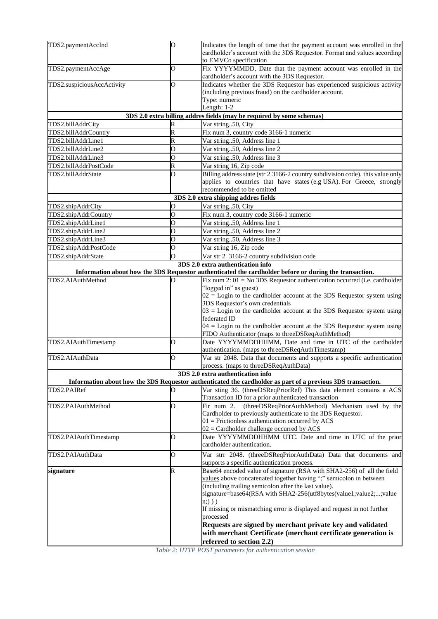| TDS2.paymentAccInd         | $\circ$        | Indicates the length of time that the payment account was enrolled in the<br>cardholder's account with the 3DS Requestor. Format and values according<br>to EMVCo specification                                                                                                                                                                                                                                                                                                                                                       |
|----------------------------|----------------|---------------------------------------------------------------------------------------------------------------------------------------------------------------------------------------------------------------------------------------------------------------------------------------------------------------------------------------------------------------------------------------------------------------------------------------------------------------------------------------------------------------------------------------|
| TDS2.paymentAccAge         | $\overline{O}$ | Fix YYYYMMDD, Date that the payment account was enrolled in the<br>cardholder's account with the 3DS Requestor.                                                                                                                                                                                                                                                                                                                                                                                                                       |
| TDS2.suspiciousAccActivity | O              | Indicates whether the 3DS Requestor has experienced suspicious activity<br>(including previous fraud) on the cardholder account.<br>Type: numeric<br>Length: $1-2$                                                                                                                                                                                                                                                                                                                                                                    |
|                            |                | 3DS 2.0 extra billing addres fields (may be required by some schemas)                                                                                                                                                                                                                                                                                                                                                                                                                                                                 |
| TDS2.billAddrCity          | R              | Var string50, City                                                                                                                                                                                                                                                                                                                                                                                                                                                                                                                    |
| TDS2.billAddrCountry       | R              | Fix num 3, country code 3166-1 numeric                                                                                                                                                                                                                                                                                                                                                                                                                                                                                                |
| TDS2.billAddrLine1         | R              | Var string50, Address line 1                                                                                                                                                                                                                                                                                                                                                                                                                                                                                                          |
| TDS2.billAddrLine2         | O              | Var string50, Address line 2                                                                                                                                                                                                                                                                                                                                                                                                                                                                                                          |
| TDS2.billAddrLine3         | $\overline{O}$ | Var string50, Address line 3                                                                                                                                                                                                                                                                                                                                                                                                                                                                                                          |
| TDS2.billAddrPostCode      | R              | Var string 16, Zip code                                                                                                                                                                                                                                                                                                                                                                                                                                                                                                               |
| TDS2.billAddrState         | Ō              | Billing address state (str 2 3166-2 country subdivision code). this value only<br>applies to countries that have states (e.g USA). For Greece, strongly<br>recommended to be omitted                                                                                                                                                                                                                                                                                                                                                  |
|                            |                | 3DS 2.0 extra shipping addres fields                                                                                                                                                                                                                                                                                                                                                                                                                                                                                                  |
| TDS2.shipAddrCity          | O              | Var string50, City                                                                                                                                                                                                                                                                                                                                                                                                                                                                                                                    |
| TDS2.shipAddrCountry       | O              | Fix num 3, country code 3166-1 numeric                                                                                                                                                                                                                                                                                                                                                                                                                                                                                                |
| TDS2.shipAddrLine1         | $\overline{O}$ | Var string50, Address line 1                                                                                                                                                                                                                                                                                                                                                                                                                                                                                                          |
| TDS2.shipAddrLine2         | O              | Var string50, Address line 2                                                                                                                                                                                                                                                                                                                                                                                                                                                                                                          |
| TDS2.shipAddrLine3         | O              | Var string50, Address line 3                                                                                                                                                                                                                                                                                                                                                                                                                                                                                                          |
| TDS2.shipAddrPostCode      | 0              | Var string 16, Zip code                                                                                                                                                                                                                                                                                                                                                                                                                                                                                                               |
| TDS2.shipAddrState         | $\overline{O}$ | Var str 2 3166-2 country subdivision code                                                                                                                                                                                                                                                                                                                                                                                                                                                                                             |
|                            |                | 3DS 2.0 extra authentication info                                                                                                                                                                                                                                                                                                                                                                                                                                                                                                     |
| TDS2.AIAuthMethod          | Ο              | Information about how the 3DS Requestor authenticated the cardholder before or during the transaction.<br>Fix num 2: $01 = No$ 3DS Requestor authentication occurred (i.e. cardholder                                                                                                                                                                                                                                                                                                                                                 |
|                            |                | "logged in" as guest)<br>$02 =$ Login to the cardholder account at the 3DS Requestor system using<br>3DS Requestor's own credentials<br>$03 =$ Login to the cardholder account at the 3DS Requestor system using<br>federated ID<br>$04 =$ Login to the cardholder account at the 3DS Requestor system using<br>FIDO Authenticator (maps to threeDSReqAuthMethod)                                                                                                                                                                     |
| TDS2.AIAuthTimestamp       | O              | Date YYYYMMDDHHMM, Date and time in UTC of the cardholder<br>authentication. (maps to threeDSReqAuthTimestamp)                                                                                                                                                                                                                                                                                                                                                                                                                        |
| TDS2.AIAuthData            | O              | Var str 2048. Data that documents and supports a specific authentication                                                                                                                                                                                                                                                                                                                                                                                                                                                              |
|                            |                | process. (maps to threeDSReqAuthData)                                                                                                                                                                                                                                                                                                                                                                                                                                                                                                 |
|                            |                | 3DS 2.0 extra authentication info                                                                                                                                                                                                                                                                                                                                                                                                                                                                                                     |
|                            |                | Information about how the 3DS Requestor authenticated the cardholder as part of a previous 3DS transaction.                                                                                                                                                                                                                                                                                                                                                                                                                           |
| TDS2.PAIRef                | О              | Var sting 36. (threeDSReqPriorRef) This data element contains a ACS                                                                                                                                                                                                                                                                                                                                                                                                                                                                   |
| TDS2.PAIAuthMethod         | O              | Transaction ID for a prior authenticated transaction<br>Fir num 2.<br>(threeDSReqPriorAuthMethod) Mechanism used by the<br>Cardholder to previously authenticate to the 3DS Requestor.<br>$01$ = Frictionless authentication occurred by ACS<br>$02 =$ Cardholder challenge occurred by ACS                                                                                                                                                                                                                                           |
| TDS2.PAIAuthTimestamp      | O              | Date YYYYMMDDHHMM UTC. Date and time in UTC of the prior<br>cardholder authentication.                                                                                                                                                                                                                                                                                                                                                                                                                                                |
| TDS2.PAIAuthData           | O              | Var strr 2048. (threeDSReqPriorAuthData) Data that documents and<br>supports a specific authentication process.                                                                                                                                                                                                                                                                                                                                                                                                                       |
| signature                  | $\mathbb R$    | Base64 encoded value of signature (RSA with SHA2-256) of all the field<br>values above concatenated together having ";" semicolon in between<br>(including trailing semicolon after the last value).<br>signature=base64(RSA with SHA2-256(utf8bytes(value1;value2;;value<br>n; ) )<br>If missing or mismatching error is displayed and request in not further<br>processed<br>Requests are signed by merchant private key and validated<br>with merchant Certificate (merchant certificate generation is<br>referred to section 2.2) |

*Table 2: HTTP POST parameters for authentication session*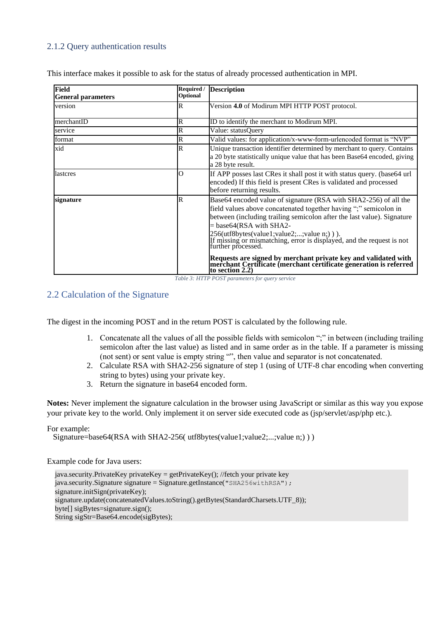## <span id="page-11-0"></span>2.1.2 Query authentication results

This interface makes it possible to ask for the status of already processed authentication in MPI.

| Field<br><b>General parameters</b> | Optional    | Required / Description                                                                                                                                                                                                                                                                                                                                                                                                                                                                                                                               |
|------------------------------------|-------------|------------------------------------------------------------------------------------------------------------------------------------------------------------------------------------------------------------------------------------------------------------------------------------------------------------------------------------------------------------------------------------------------------------------------------------------------------------------------------------------------------------------------------------------------------|
| version                            | $\mathbb R$ | Version 4.0 of Modirum MPI HTTP POST protocol.                                                                                                                                                                                                                                                                                                                                                                                                                                                                                                       |
| merchantID                         | $\mathbb R$ | ID to identify the merchant to Modirum MPI.                                                                                                                                                                                                                                                                                                                                                                                                                                                                                                          |
| service                            | $\mathbb R$ | Value: statusOuery                                                                                                                                                                                                                                                                                                                                                                                                                                                                                                                                   |
| format                             | $\mathbb R$ | Valid values: for application/x-www-form-urlencoded format is "NVP"                                                                                                                                                                                                                                                                                                                                                                                                                                                                                  |
| xid                                | R           | Unique transaction identifier determined by merchant to query. Contains<br>a 20 byte statistically unique value that has been Base64 encoded, giving<br>a 28 byte result.                                                                                                                                                                                                                                                                                                                                                                            |
| lastcres                           | Ю           | If APP posses last CRes it shall post it with status query. (base 64 url<br>encoded) If this field is present CRes is validated and processed<br>before returning results.                                                                                                                                                                                                                                                                                                                                                                           |
| signature                          | R           | Base64 encoded value of signature (RSA with SHA2-256) of all the<br>field values above concatenated together having ";" semicolon in<br>between (including trailing semicolon after the last value). Signature<br>$= base64(RSA with SHA2-$<br>256(utf8bytes(value1;value2;;value n;))).<br>If missing or mismatching, error is displayed, and the request is not<br>further processed.<br>Requests are signed by merchant private key and validated with<br>merchant Certificate (merchant certificate generation is referred<br>to section $2.2$ ) |

*Table 3: HTTP POST parameters for query service*

### <span id="page-11-1"></span>2.2 Calculation of the Signature

The digest in the incoming POST and in the return POST is calculated by the following rule.

- 1. Concatenate all the values of all the possible fields with semicolon ";" in between (including trailing semicolon after the last value) as listed and in same order as in the table. If a parameter is missing (not sent) or sent value is empty string "", then value and separator is not concatenated.
- 2. Calculate RSA with SHA2-256 signature of step 1 (using of UTF-8 char encoding when converting string to bytes) using your private key.
- 3. Return the signature in base64 encoded form.

**Notes:** Never implement the signature calculation in the browser using JavaScript or similar as this way you expose your private key to the world. Only implement it on server side executed code as (jsp/servlet/asp/php etc.).

#### For example:

Signature=base64(RSA with SHA2-256( utf8bytes(value1;value2;...;value n;) ) )

#### Example code for Java users:

java.security.PrivateKey privateKey = getPrivateKey(); //fetch your private key  $java$ .security.Signature signature = Signature.getInstance("SHA256withRSA"); signature.initSign(privateKey); signature.update(concatenatedValues.toString().getBytes(StandardCharsets.UTF\_8)); byte[] sigBytes=signature.sign(); String sigStr=Base64.encode(sigBytes);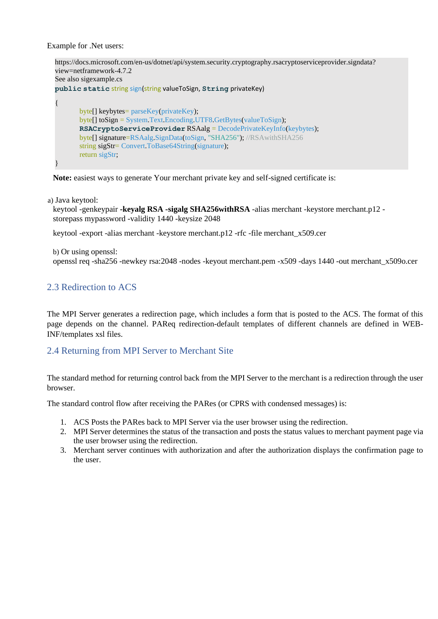Example for .Net users:

```
https://docs.microsoft.com/en-us/dotnet/api/system.security.cryptography.rsacryptoserviceprovider.signdata? 
view=netframework-4.7.2
See also sigexample.cs
public static string sign(string valueToSign, String privateKey)
{
       byte[] keybytes= parseKey(privateKey);
       byte[] toSign = System.Text.Encoding.UTF8.GetBytes(valueToSign); 
       RSACryptoServiceProvider RSAalg = DecodePrivateKeyInfo(keybytes); 
       byte[] signature=RSAalg.SignData(toSign, "SHA256"); //RSAwithSHA256 
       string sigStr= Convert.ToBase64String(signature);
       return sigStr;
}
```
**Note:** easiest ways to generate Your merchant private key and self-signed certificate is:

a) Java keytool:

keytool -genkeypair **-keyalg RSA -sigalg SHA256withRSA** -alias merchant -keystore merchant.p12 storepass mypassword -validity 1440 -keysize 2048

keytool -export -alias merchant -keystore merchant.p12 -rfc -file merchant\_x509.cer

b) Or using openssl: openssl req -sha256 -newkey rsa:2048 -nodes -keyout merchant.pem -x509 -days 1440 -out merchant\_x509o.cer

## <span id="page-12-0"></span>2.3 Redirection to ACS

The MPI Server generates a redirection page, which includes a form that is posted to the ACS. The format of this page depends on the channel. PAReq redirection-default templates of different channels are defined in WEB-INF/templates xsl files.

### <span id="page-12-1"></span>2.4 Returning from MPI Server to Merchant Site

The standard method for returning control back from the MPI Server to the merchant is a redirection through the user browser.

The standard control flow after receiving the PARes (or CPRS with condensed messages) is:

- 1. ACS Posts the PARes back to MPI Server via the user browser using the redirection.
- 2. MPI Server determines the status of the transaction and posts the status values to merchant payment page via the user browser using the redirection.
- 3. Merchant server continues with authorization and after the authorization displays the confirmation page to the user.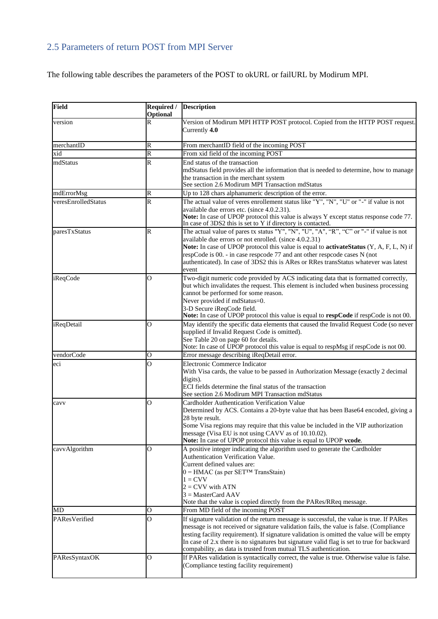# <span id="page-13-0"></span>2.5 Parameters of return POST from MPI Server

The following table describes the parameters of the POST to okURL or failURL by Modirum MPI.

| Field               | Required /<br>Optional  | <b>Description</b>                                                                                                                                                                                                                                                                                                                                                                                                                               |
|---------------------|-------------------------|--------------------------------------------------------------------------------------------------------------------------------------------------------------------------------------------------------------------------------------------------------------------------------------------------------------------------------------------------------------------------------------------------------------------------------------------------|
| version             | R                       | Version of Modirum MPI HTTP POST protocol. Copied from the HTTP POST request.<br>Currently 4.0                                                                                                                                                                                                                                                                                                                                                   |
| merchantID          | R                       | From merchantID field of the incoming POST                                                                                                                                                                                                                                                                                                                                                                                                       |
| xid                 | $\overline{\mathsf{R}}$ | From xid field of the incoming POST                                                                                                                                                                                                                                                                                                                                                                                                              |
| mdStatus            | $\overline{\mathsf{R}}$ | End status of the transaction<br>mdStatus field provides all the information that is needed to determine, how to manage<br>the transaction in the merchant system<br>See section 2.6 Modirum MPI Transaction mdStatus                                                                                                                                                                                                                            |
| mdErrorMsg          | R                       | Up to 128 chars alphanumeric description of the error.                                                                                                                                                                                                                                                                                                                                                                                           |
| veresEnrolledStatus | R                       | The actual value of veres enrollement status like "Y", "N", "U" or "-" if value is not<br>available due errors etc. (since 4.0.2.31).<br>Note: In case of UPOP protocol this value is always Y except status response code 77.<br>In case of 3DS2 this is set to Y if directory is contacted.                                                                                                                                                    |
| paresTxStatus       | R                       | The actual value of pares tx status "Y", "N", "U", "A", "R", "C" or "-" if value is not<br>available due errors or not enrolled. (since 4.0.2.31)<br>Note: In case of UPOP protocol this value is equal to activateStatus (Y, A, F, L, N) if<br>respCode is 00. - in case respcode 77 and ant other respcode cases N (not<br>authenticated). In case of 3DS2 this is ARes or RRes transStatus whatever was latest<br>event                       |
| iReqCode            | О                       | Two-digit numeric code provided by ACS indicating data that is formatted correctly,<br>but which invalidates the request. This element is included when business processing<br>cannot be performed for some reason.<br>Never provided if mdStatus=0.<br>3-D Secure iReqCode field.<br>Note: In case of UPOP protocol this value is equal to respCode if respCode is not 00.                                                                      |
| <i>iReqDetail</i>   | 0                       | May identify the specific data elements that caused the Invalid Request Code (so never<br>supplied if Invalid Request Code is omitted).<br>See Table 20 on page 60 for details.<br>Note: In case of UPOP protocol this value is equal to respMsg if respCode is not 00.                                                                                                                                                                          |
| vendorCode          | о                       | Error message describing iReqDetail error.                                                                                                                                                                                                                                                                                                                                                                                                       |
| eci                 | 0                       | Electronic Commerce Indicator<br>With Visa cards, the value to be passed in Authorization Message (exactly 2 decimal<br>digits).<br>ECI fields determine the final status of the transaction<br>See section 2.6 Modirum MPI Transaction mdStatus                                                                                                                                                                                                 |
| cavv                | О                       | Cardholder Authentication Verification Value<br>Determined by ACS. Contains a 20-byte value that has been Base64 encoded, giving a<br>28 byte result.<br>Some Visa regions may require that this value be included in the VIP authorization<br>message (Visa EU is not using CAVV as of 10.10.02).<br>Note: In case of UPOP protocol this value is equal to UPOP vcode.                                                                          |
| cavvAlgorithm       | $\overline{O}$          | A positive integer indicating the algorithm used to generate the Cardholder<br>Authentication Verification Value.<br>Current defined values are:<br>$0 =$ HMAC (as per SET <sup>TM</sup> TransStain)<br>$1 = CVV$<br>$2 = CVV$ with ATN<br>$3 = MasterCard AAV$<br>Note that the value is copied directly from the PARes/RReq message.                                                                                                           |
| MD                  | О                       | From MD field of the incoming POST                                                                                                                                                                                                                                                                                                                                                                                                               |
| PAResVerified       | 0                       | If signature validation of the return message is successful, the value is true. If PARes<br>message is not received or signature validation fails, the value is false. (Compliance<br>testing facility requirement). If signature validation is omitted the value will be empty<br>In case of 2.x there is no signatures but signature valid flag is set to true for backward<br>compability, as data is trusted from mutual TLS authentication. |
| PAResSyntaxOK       | O                       | If PARes validation is syntactically correct, the value is true. Otherwise value is false.<br>(Compliance testing facility requirement)                                                                                                                                                                                                                                                                                                          |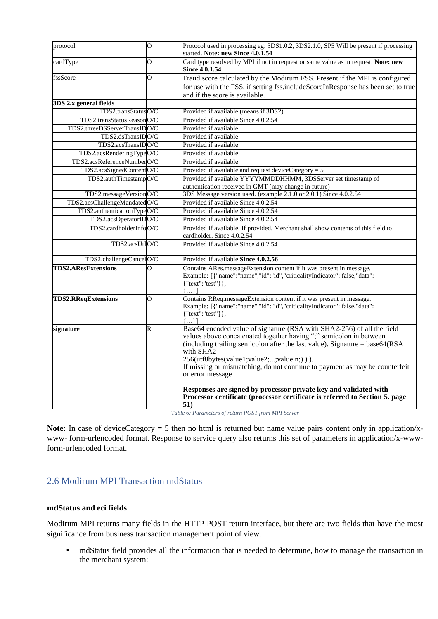| protocol                     | 0              | Protocol used in processing eg: 3DS1.0.2, 3DS2.1.0, SP5 Will be present if processing<br>started. Note: new Since 4.0.1.54                                                                                                                                                                                                                                                                                                                                                                                                                                           |
|------------------------------|----------------|----------------------------------------------------------------------------------------------------------------------------------------------------------------------------------------------------------------------------------------------------------------------------------------------------------------------------------------------------------------------------------------------------------------------------------------------------------------------------------------------------------------------------------------------------------------------|
| cardType                     | $\overline{O}$ | Card type resolved by MPI if not in request or same value as in request. Note: new<br><b>Since 4.0.1.54</b>                                                                                                                                                                                                                                                                                                                                                                                                                                                          |
| fssScore                     | $\overline{O}$ | Fraud score calculated by the Modirum FSS. Present if the MPI is configured                                                                                                                                                                                                                                                                                                                                                                                                                                                                                          |
|                              |                | for use with the FSS, if setting fss.includeScoreInResponse has been set to true                                                                                                                                                                                                                                                                                                                                                                                                                                                                                     |
|                              |                | and if the score is available.                                                                                                                                                                                                                                                                                                                                                                                                                                                                                                                                       |
| 3DS 2.x general fields       |                |                                                                                                                                                                                                                                                                                                                                                                                                                                                                                                                                                                      |
| TDS2.transStatusO/C          |                | Provided if available (means if 3DS2)                                                                                                                                                                                                                                                                                                                                                                                                                                                                                                                                |
| TDS2.transStatusReasonO/C    |                | Provided if available Since 4.0.2.54                                                                                                                                                                                                                                                                                                                                                                                                                                                                                                                                 |
| TDS2.threeDSServerTransIDO/C |                | Provided if available                                                                                                                                                                                                                                                                                                                                                                                                                                                                                                                                                |
| TDS2.dsTransIDO/C            |                | Provided if available                                                                                                                                                                                                                                                                                                                                                                                                                                                                                                                                                |
| TDS2.acsTransIDO/C           |                | Provided if available                                                                                                                                                                                                                                                                                                                                                                                                                                                                                                                                                |
| TDS2.acsRenderingTypeO/C     |                | Provided if available                                                                                                                                                                                                                                                                                                                                                                                                                                                                                                                                                |
| TDS2.acsReferenceNumberO/C   |                | Provided if available                                                                                                                                                                                                                                                                                                                                                                                                                                                                                                                                                |
| TDS2.acsSignedContentO/C     |                | Provided if available and request deviceCategory = $5$                                                                                                                                                                                                                                                                                                                                                                                                                                                                                                               |
| TDS2.authTimestampO/C        |                | Provided if available YYYYMMDDHHMM, 3DSServer set timestamp of                                                                                                                                                                                                                                                                                                                                                                                                                                                                                                       |
|                              |                | authentication received in GMT (may change in future)                                                                                                                                                                                                                                                                                                                                                                                                                                                                                                                |
| TDS2.messageVersionO/C       |                | 3DS Message version used. (example 2.1.0 or 2.0.1) Since 4.0.2.54                                                                                                                                                                                                                                                                                                                                                                                                                                                                                                    |
| TDS2.acsChallengeMandatedO/C |                | Provided if available Since 4.0.2.54                                                                                                                                                                                                                                                                                                                                                                                                                                                                                                                                 |
| TDS2.authenticationTypeO/C   |                | Provided if available Since 4.0.2.54                                                                                                                                                                                                                                                                                                                                                                                                                                                                                                                                 |
| TDS2.acsOperatorIDO/C        |                | Provided if available Since 4.0.2.54                                                                                                                                                                                                                                                                                                                                                                                                                                                                                                                                 |
| TDS2.cardholderInfoO/C       |                | Provided if available. If provided. Merchant shall show contents of this field to                                                                                                                                                                                                                                                                                                                                                                                                                                                                                    |
|                              |                | cardholder. Since 4.0.2.54                                                                                                                                                                                                                                                                                                                                                                                                                                                                                                                                           |
| TDS2.acsUrlO/C               |                | Provided if available Since 4.0.2.54                                                                                                                                                                                                                                                                                                                                                                                                                                                                                                                                 |
| TDS2.challengeCancelO/C      |                | Provided if available Since 4.0.2.56                                                                                                                                                                                                                                                                                                                                                                                                                                                                                                                                 |
| <b>TDS2.AResExtensions</b>   | $\overline{O}$ | Contains ARes.messageExtension content if it was present in message.<br>Example: [{"name":"name","id":"id","criticalityIndicator": false,"data":<br>{"text":"test"} },<br>$\{\}$                                                                                                                                                                                                                                                                                                                                                                                     |
| <b>TDS2.RReqExtensions</b>   | O              | Contains RReq.messageExtension content if it was present in message.<br>Example: [{"name":"name","id":"id","criticalityIndicator": false,"data":<br>{"text":"test"} },<br>$\{ \}$ ]                                                                                                                                                                                                                                                                                                                                                                                  |
| signature                    | R              | Base64 encoded value of signature (RSA with SHA2-256) of all the field<br>values above concatenated together having ";" semicolon in between<br>(including trailing semicolon after the last value). Signature = $base64(RSA)$<br>with $SH\overline{A2}$ -<br>256(utf8bytes(value1;value2;;value n;))).<br>If missing or mismatching, do not continue to payment as may be counterfeit<br>or error message<br>Responses are signed by processor private key and validated with<br>Processor certificate (processor certificate is referred to Section 5. page<br>51) |

*Table 6: Parameters of return POST from MPI Server*

Note: In case of deviceCategory = 5 then no html is returned but name value pairs content only in application/xwww- form-urlencoded format. Response to service query also returns this set of parameters in application/x-wwwform-urlencoded format.

## <span id="page-14-0"></span>2.6 Modirum MPI Transaction mdStatus

#### **mdStatus and eci fields**

Modirum MPI returns many fields in the HTTP POST return interface, but there are two fields that have the most significance from business transaction management point of view.

**•** mdStatus field provides all the information that is needed to determine, how to manage the transaction in the merchant system: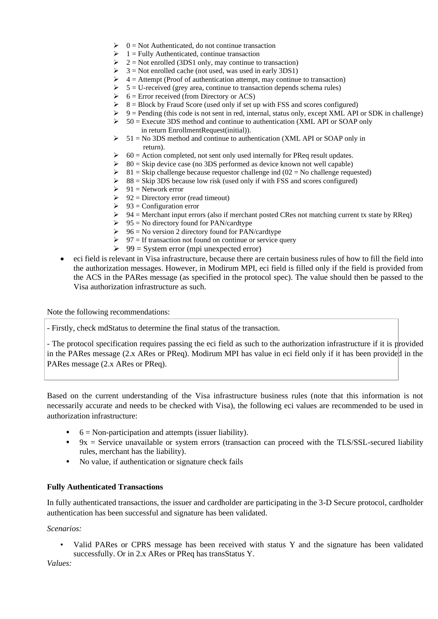- $\geq 0$  = Not Authenticated, do not continue transaction
- $\geq 1$  = Fully Authenticated, continue transaction
- $\geq 2$  = Not enrolled (3DS1 only, may continue to transaction)
- $\triangleright$  3 = Not enrolled cache (not used, was used in early 3DS1)
- $\triangleright$  4 = Attempt (Proof of authentication attempt, may continue to transaction)
- $\geq 5$  = U-received (grey area, continue to transaction depends schema rules)
- $\triangleright$  6 = Error received (from Directory or ACS)
- $\triangleright$  8 = Block by Fraud Score (used only if set up with FSS and scores configured)
- $\triangleright$  9 = Pending (this code is not sent in red, internal, status only, except XML API or SDK in challenge)
- $\geq 50$  = Execute 3DS method and continue to authentication (XML API or SOAP only in return EnrollmentRequest(initial)).
- $\geq 51$  = No 3DS method and continue to authentication (XML API or SOAP only in return).
- $\geq 60$  = Action completed, not sent only used internally for PReq result updates.
- $\geq$  80 = Skip device case (no 3DS performed as device known not well capable)
- $\triangleright$  81 = Skip challenge because requestor challenge ind (02 = No challenge requested)
- $\geq$  88 = Skip 3DS because low risk (used only if with FSS and scores configured)<br> $\geq$  91 = Network error
- $91$  = Network error
- $\geq 92$  = Directory error (read timeout)
- $\geq 93$  = Configuration error
- $\triangleright$  94 = Merchant input errors (also if merchant posted CRes not matching current tx state by RReq)
- $\geq 95$  = No directory found for PAN/cardtype
- $\geq 96$  = No version 2 directory found for PAN/cardtype
- $\geq 97$  = If transaction not found on continue or service query
- $\geq 99$  = System error (mpi unexpected error)
- eci field is relevant in Visa infrastructure, because there are certain business rules of how to fill the field into the authorization messages. However, in Modirum MPI, eci field is filled only if the field is provided from the ACS in the PARes message (as specified in the protocol spec). The value should then be passed to the Visa authorization infrastructure as such.

Note the following recommendations:

- Firstly, check mdStatus to determine the final status of the transaction.

- The protocol specification requires passing the eci field as such to the authorization infrastructure if it is provided in the PARes message (2.x ARes or PReq). Modirum MPI has value in eci field only if it has been provided in the PARes message (2.x ARes or PReq).

Based on the current understanding of the Visa infrastructure business rules (note that this information is not necessarily accurate and needs to be checked with Visa), the following eci values are recommended to be used in authorization infrastructure:

- **•** 6 = Non-participation and attempts (issuer liability).
- 9x = Service unavailable or system errors (transaction can proceed with the TLS/SSL-secured liability rules, merchant has the liability).
- **•** No value, if authentication or signature check fails

#### **Fully Authenticated Transactions**

In fully authenticated transactions, the issuer and cardholder are participating in the 3-D Secure protocol, cardholder authentication has been successful and signature has been validated.

*Scenarios:*

• Valid PARes or CPRS message has been received with status Y and the signature has been validated successfully. Or in 2.x ARes or PReq has transStatus Y.

*Values:*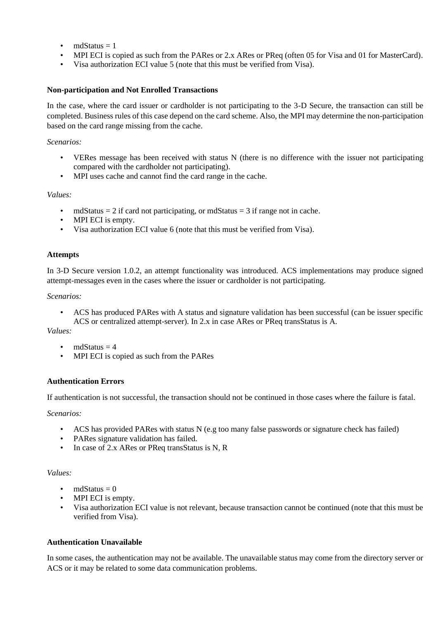- $mdStatus = 1$
- MPI ECI is copied as such from the PARes or 2.x ARes or PReq (often 05 for Visa and 01 for MasterCard).
- Visa authorization ECI value 5 (note that this must be verified from Visa).

#### **Non-participation and Not Enrolled Transactions**

In the case, where the card issuer or cardholder is not participating to the 3-D Secure, the transaction can still be completed. Business rules of this case depend on the card scheme. Also, the MPI may determine the non-participation based on the card range missing from the cache.

*Scenarios:*

- VERes message has been received with status N (there is no difference with the issuer not participating compared with the cardholder not participating).
- MPI uses cache and cannot find the card range in the cache.

*Values:*

- mdStatus  $= 2$  if card not participating, or mdStatus  $= 3$  if range not in cache.
- MPI ECI is empty.
- Visa authorization ECI value 6 (note that this must be verified from Visa).

#### **Attempts**

In 3-D Secure version 1.0.2, an attempt functionality was introduced. ACS implementations may produce signed attempt-messages even in the cases where the issuer or cardholder is not participating.

*Scenarios:*

• ACS has produced PARes with A status and signature validation has been successful (can be issuer specific ACS or centralized attempt-server). In 2.x in case ARes or PReq transStatus is A.

*Values:*

- mdStatus  $= 4$
- MPI ECI is copied as such from the PARes

#### **Authentication Errors**

If authentication is not successful, the transaction should not be continued in those cases where the failure is fatal.

*Scenarios:*

- ACS has provided PARes with status N (e.g too many false passwords or signature check has failed)
- PARes signature validation has failed.
- In case of 2.x ARes or PReq transStatus is N, R

#### *Values:*

- mdStatus  $= 0$
- MPI ECI is empty.
- Visa authorization ECI value is not relevant, because transaction cannot be continued (note that this must be verified from Visa).

#### **Authentication Unavailable**

In some cases, the authentication may not be available. The unavailable status may come from the directory server or ACS or it may be related to some data communication problems.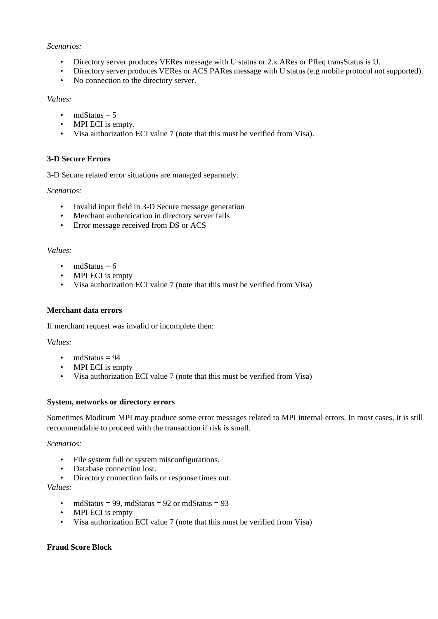#### *Scenarios:*

- 
- Directory server produces VERes message with U status or 2.x ARes or PReq transStatus is U.<br>• Directory server produces VERes or ACS PARes message with U status (e.g mobile protocol no • Directory server produces VERes or ACS PARes message with U status (e.g mobile protocol not supported).
- No connection to the directory server.

#### *Values:*

- mdStatus  $= 5$
- MPI ECI is empty.
- Visa authorization ECI value 7 (note that this must be verified from Visa).

### **3-D Secure Errors**

3-D Secure related error situations are managed separately.

#### *Scenarios:*

- Invalid input field in 3-D Secure message generation
- Merchant authentication in directory server fails
- Error message received from DS or ACS

#### *Values:*

- mdStatus  $= 6$
- MPI ECI is empty
- Visa authorization ECI value 7 (note that this must be verified from Visa)

#### **Merchant data errors**

If merchant request was invalid or incomplete then:

#### *Values:*

- mdStatus  $= 94$
- MPI ECI is empty
- Visa authorization ECI value 7 (note that this must be verified from Visa)

#### **System, networks or directory errors**

Sometimes Modirum MPI may produce some error messages related to MPI internal errors. In most cases, it is still recommendable to proceed with the transaction if risk is small.

#### *Scenarios:*

- File system full or system misconfigurations.
- Database connection lost.
- Directory connection fails or response times out.

#### *Values:*

- mdStatus = 99, mdStatus = 92 or mdStatus = 93
- MPI ECI is empty
- Visa authorization ECI value 7 (note that this must be verified from Visa)

### **Fraud Score Block**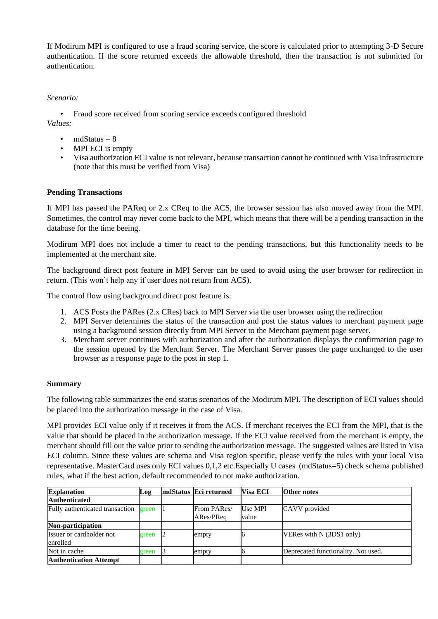If Modirum MPI is configured to use a fraud scoring service, the score is calculated prior to attempting 3-D Secure authentication. If the score returned exceeds the allowable threshold, then the transaction is not submitted for authentication.

#### *Scenario:*

• Fraud score received from scoring service exceeds configured threshold *Values:*

- mdStatus  $= 8$
- MPI ECI is empty
- Visa authorization ECI value is not relevant, because transaction cannot be continued with Visa infrastructure (note that this must be verified from Visa)

#### **Pending Transactions**

If MPI has passed the PAReq or 2.x CReq to the ACS, the browser session has also moved away from the MPI. Sometimes, the control may never come back to the MPI, which means that there will be a pending transaction in the database for the time beeing.

Modirum MPI does not include a timer to react to the pending transactions, but this functionality needs to be implemented at the merchant site.

The background direct post feature in MPI Server can be used to avoid using the user browser for redirection in return. (This won't help any if user does not return from ACS).

The control flow using background direct post feature is:

- 1. ACS Posts the PARes (2.x CRes) back to MPI Server via the user browser using the redirection
- 2. MPI Server determines the status of the transaction and post the status values to merchant payment page using a background session directly from MPI Server to the Merchant payment page server.
- 3. Merchant server continues with authorization and after the authorization displays the confirmation page to the session opened by the Merchant Server. The Merchant Server passes the page unchanged to the user browser as a response page to the post in step 1.

#### **Summary**

The following table summarizes the end status scenarios of the Modirum MPI. The description of ECI values should be placed into the authorization message in the case of Visa.

MPI provides ECI value only if it receives it from the ACS. If merchant receives the ECI from the MPI, that is the value that should be placed in the authorization message. If the ECI value received from the merchant is empty, the merchant should fill out the value prior to sending the authorization message. The suggested values are listed in Visa ECI column. Since these values are schema and Visa region specific, please verify the rules with your local Visa representative. MasterCard uses only ECI values 0,1,2 etc.Especially U cases (mdStatus=5) check schema published rules, what if the best action, default recommended to not make authorization.

| <b>Explanation</b>                          | Log   | mdStatus Eci returned    | <b>Visa ECI</b>  | <b>Other notes</b>                  |
|---------------------------------------------|-------|--------------------------|------------------|-------------------------------------|
| <b>Authenticated</b>                        |       |                          |                  |                                     |
| Fully authenticated transaction             | green | From PARes/<br>ARes/PReq | Use MPI<br>value | CAVV provided                       |
| Non-participation                           |       |                          |                  |                                     |
| <b>Issuer or cardholder not</b><br>enrolled | green | empty                    |                  | VERes with N (3DS1 only)            |
| Not in cache                                | green | empty                    |                  | Deprecated functionality. Not used. |
| <b>Authentication Attempt</b>               |       |                          |                  |                                     |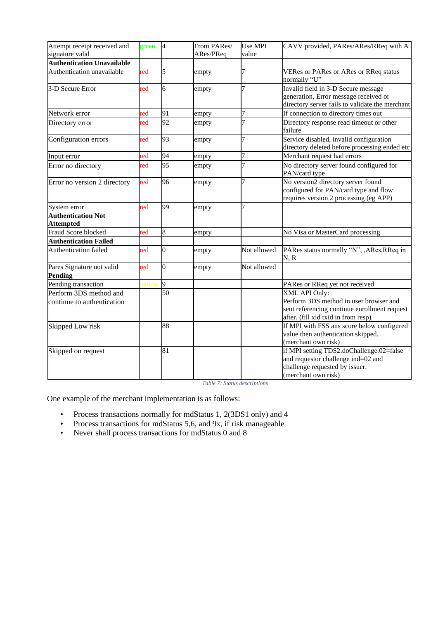| Attempt receipt received and<br>signature valid      | green | $\overline{A}$ | From PARes/<br>ARes/PReq | Use MPI<br>value | CAVV provided, PARes/ARes/RReq with A                                                                                                          |
|------------------------------------------------------|-------|----------------|--------------------------|------------------|------------------------------------------------------------------------------------------------------------------------------------------------|
| <b>Authentication Unavailable</b>                    |       |                |                          |                  |                                                                                                                                                |
| Authentication unavailable                           | red   | 5              | empty                    | 7                | <b>VERes or PARes or ARes or RReq status</b><br>normally "U"                                                                                   |
| 3-D Secure Error                                     | red   | 6              | empty                    | 7                | Invalid field in 3-D Secure message<br>generation, Error message received or<br>directory server fails to validate the merchant                |
| Network error                                        | red   | 91             | empty                    | 7                | If connection to directory times out                                                                                                           |
| Directory error                                      | red   | 92             | empty                    |                  | Directory response read timeout or other<br>failure                                                                                            |
| Configuration errors                                 | red   | 93             | empty                    | 7                | Service disabled, invalid configuration<br>directory deleted before processing ended etc                                                       |
| Input error                                          | red   | 94             | empty                    | 7                | Merchant request had errors                                                                                                                    |
| Error no directory                                   | red   | 95             | empty                    | 7                | No directory server found configured for<br>PAN/card type                                                                                      |
| Error no version 2 directory                         | red   | 96             | empty                    | 7                | No version2 directory server found<br>configured for PAN/card type and flow<br>requires version 2 processing (eg APP)                          |
| System error                                         | red   | 99             | empty                    | 7                |                                                                                                                                                |
| <b>Authentication Not</b><br><b>Attempted</b>        |       |                |                          |                  |                                                                                                                                                |
| Fraud Score blocked                                  | red   | 8              | empty                    |                  | No Visa or MasterCard processing                                                                                                               |
| <b>Authentication Failed</b>                         |       |                |                          |                  |                                                                                                                                                |
| Authentication failed                                | red   | 0              | empty                    | Not allowed      | PARes status normally "N", , ARes, RReq in<br>N, R                                                                                             |
| Pares Signature not valid                            | red   | $\overline{0}$ | empty                    | Not allowed      |                                                                                                                                                |
| <b>Pending</b>                                       |       |                |                          |                  |                                                                                                                                                |
| Pending transaction                                  |       | 9              |                          |                  | PARes or RReq yet not received                                                                                                                 |
| Perform 3DS method and<br>continue to authentication |       | 50             |                          |                  | XML API Only:<br>Perform 3DS method in user browser and<br>sent referencing continue enrollment request<br>after. (fill xid txid in from resp) |
| Skipped Low risk                                     |       | 88             |                          |                  | If MPI with FSS ans score below configured<br>value then authentication skipped.<br>(merchant own risk)                                        |
| Skipped on request                                   |       | 81             |                          |                  | if MPI setting TDS2.doChallenge.02=false<br>and requestor challenge ind=02 and<br>challenge requested by issuer.<br>(merchant own risk)        |

*Table 7: Status descriptions*

One example of the merchant implementation is as follows:

- Process transactions normally for mdStatus 1, 2(3DS1 only) and 4
- Process transactions for mdStatus 5,6, and 9x, if risk manageable<br>• Never shall process transactions for mdStatus 0 and 8
- Never shall process transactions for mdStatus 0 and 8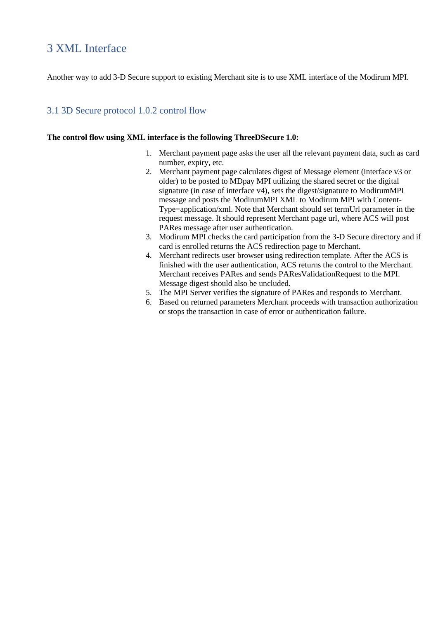# <span id="page-20-0"></span>3 XML Interface

Another way to add 3-D Secure support to existing Merchant site is to use XML interface of the Modirum MPI.

### <span id="page-20-1"></span>3.1 3D Secure protocol 1.0.2 control flow

#### **The control flow using XML interface is the following ThreeDSecure 1.0:**

- 1. Merchant payment page asks the user all the relevant payment data, such as card number, expiry, etc.
- 2. Merchant payment page calculates digest of Message element (interface v3 or older) to be posted to MDpay MPI utilizing the shared secret or the digital signature (in case of interface v4), sets the digest/signature to ModirumMPI message and posts the ModirumMPI XML to Modirum MPI with Content-Type=application/xml. Note that Merchant should set termUrl parameter in the request message. It should represent Merchant page url, where ACS will post PARes message after user authentication.
- 3. Modirum MPI checks the card participation from the 3-D Secure directory and if card is enrolled returns the ACS redirection page to Merchant.
- 4. Merchant redirects user browser using redirection template. After the ACS is finished with the user authentication, ACS returns the control to the Merchant. Merchant receives PARes and sends PAResValidationRequest to the MPI. Message digest should also be uncluded.
- 5. The MPI Server verifies the signature of PARes and responds to Merchant.
- 6. Based on returned parameters Merchant proceeds with transaction authorization or stops the transaction in case of error or authentication failure.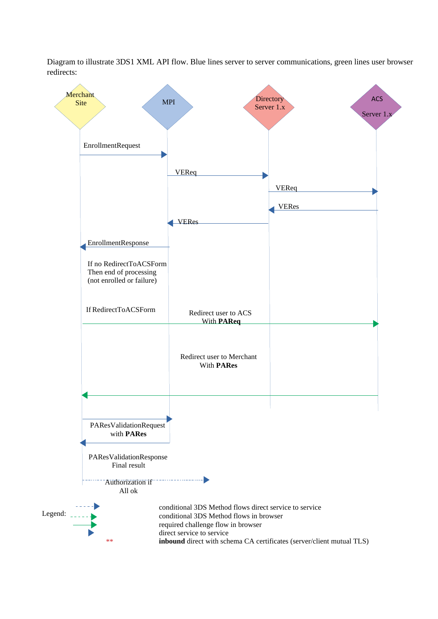Diagram to illustrate 3DS1 XML API flow. Blue lines server to server communications, green lines user browser redirects:

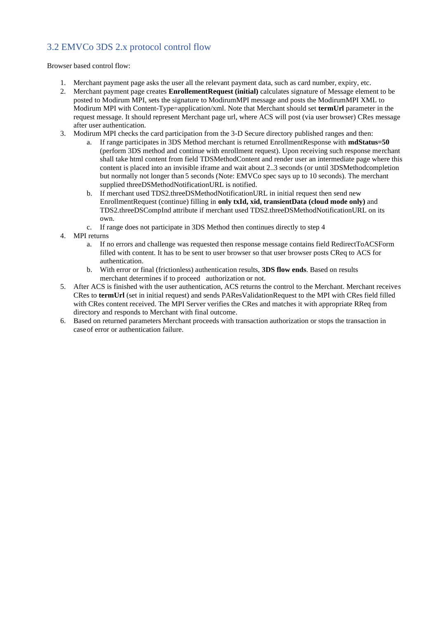## <span id="page-22-0"></span>3.2 EMVCo 3DS 2.x protocol control flow

Browser based control flow:

- 1. Merchant payment page asks the user all the relevant payment data, such as card number, expiry, etc.
- 2. Merchant payment page creates **EnrollementRequest (initial)** calculates signature of Message element to be posted to Modirum MPI, sets the signature to ModirumMPI message and posts the ModirumMPI XML to Modirum MPI with Content-Type=application/xml. Note that Merchant should set **termUrl** parameter in the request message. It should represent Merchant page url, where ACS will post (via user browser) CRes message after user authentication.
- 3. Modirum MPI checks the card participation from the 3-D Secure directory published ranges and then:
	- a. If range participates in 3DS Method merchant is returned EnrollmentResponse with **mdStatus=50**  (perform 3DS method and continue with enrollment request). Upon receiving such response merchant shall take html content from field TDSMethodContent and render user an intermediate page where this content is placed into an invisible iframe and wait about 2..3 seconds (or until 3DSMethodcompletion but normally not longer than 5 seconds (Note: EMVCo spec says up to 10 seconds). The merchant supplied threeDSMethodNotificationURL is notified.
	- b. If merchant used TDS2.threeDSMethodNotificationURL in initial request then send new EnrollmentRequest (continue) filling in **only txId, xid, transientData (cloud mode only)** and TDS2.threeDSCompInd attribute if merchant used TDS2.threeDSMethodNotificationURL on its own.
	- c. If range does not participate in 3DS Method then continues directly to step 4
- 4. MPI returns
	- a. If no errors and challenge was requested then response message contains field RedirectToACSForm filled with content. It has to be sent to user browser so that user browser posts CReq to ACS for authentication.
	- b. With error or final (frictionless) authentication results, **3DS flow ends**. Based on results merchant determines if to proceed authorization or not.
- 5. After ACS is finished with the user authentication, ACS returns the control to the Merchant. Merchant receives CRes to **termUrl** (set in initial request) and sends PAResValidationRequest to the MPI with CRes field filled with CRes content received. The MPI Server verifies the CRes and matches it with appropriate RReq from directory and responds to Merchant with final outcome.
- 6. Based on returned parameters Merchant proceeds with transaction authorization or stops the transaction in caseof error or authentication failure.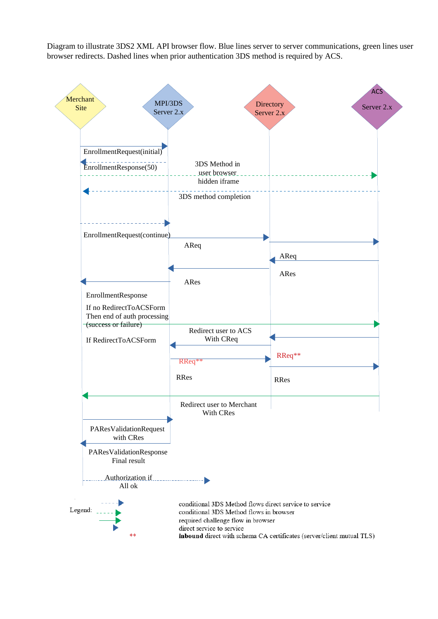Diagram to illustrate 3DS2 XML API browser flow. Blue lines server to server communications, green lines user browser redirects. Dashed lines when prior authentication 3DS method is required by ACS.

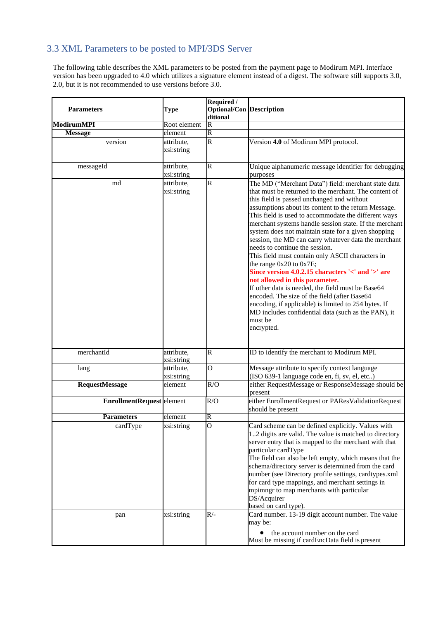## <span id="page-24-0"></span>3.3 XML Parameters to be posted to MPI/3DS Server

The following table describes the XML parameters to be posted from the payment page to Modirum MPI. Interface version has been upgraded to 4.0 which utilizes a signature element instead of a digest. The software still supports 3.0, 2.0, but it is not recommended to use versions before 3.0.

| <b>Parameters</b>                | <b>Type</b>              | Required /<br><b>Optional/Con Description</b><br>ditional |                                                                                                                                                                                                                                                                                                                                                                                                                                                                                                                                                                                                                                                                                                                                                                                                                                                                                                          |
|----------------------------------|--------------------------|-----------------------------------------------------------|----------------------------------------------------------------------------------------------------------------------------------------------------------------------------------------------------------------------------------------------------------------------------------------------------------------------------------------------------------------------------------------------------------------------------------------------------------------------------------------------------------------------------------------------------------------------------------------------------------------------------------------------------------------------------------------------------------------------------------------------------------------------------------------------------------------------------------------------------------------------------------------------------------|
| <b>ModirumMPI</b>                | Root element             | $\overline{\mathsf{R}}$                                   |                                                                                                                                                                                                                                                                                                                                                                                                                                                                                                                                                                                                                                                                                                                                                                                                                                                                                                          |
| <b>Message</b>                   | element                  | R                                                         |                                                                                                                                                                                                                                                                                                                                                                                                                                                                                                                                                                                                                                                                                                                                                                                                                                                                                                          |
| version                          | attribute,               | R                                                         | Version 4.0 of Modirum MPI protocol.                                                                                                                                                                                                                                                                                                                                                                                                                                                                                                                                                                                                                                                                                                                                                                                                                                                                     |
|                                  | xsi:string               |                                                           |                                                                                                                                                                                                                                                                                                                                                                                                                                                                                                                                                                                                                                                                                                                                                                                                                                                                                                          |
|                                  |                          |                                                           |                                                                                                                                                                                                                                                                                                                                                                                                                                                                                                                                                                                                                                                                                                                                                                                                                                                                                                          |
| $\rm messageId$                  | attribute,               | R                                                         | Unique alphanumeric message identifier for debugging                                                                                                                                                                                                                                                                                                                                                                                                                                                                                                                                                                                                                                                                                                                                                                                                                                                     |
|                                  | xsi:string               |                                                           | purposes                                                                                                                                                                                                                                                                                                                                                                                                                                                                                                                                                                                                                                                                                                                                                                                                                                                                                                 |
| md                               | attribute.<br>xsi:string | R                                                         | The MD ("Merchant Data") field: merchant state data<br>that must be returned to the merchant. The content of<br>this field is passed unchanged and without<br>assumptions about its content to the return Message.<br>This field is used to accommodate the different ways<br>merchant systems handle session state. If the merchant<br>system does not maintain state for a given shopping<br>session, the MD can carry whatever data the merchant<br>needs to continue the session.<br>This field must contain only ASCII characters in<br>the range 0x20 to 0x7E;<br>Since version 4.0.2.15 characters '<' and '>' are<br>not allowed in this parameter.<br>If other data is needed, the field must be Base64<br>encoded. The size of the field (after Base64<br>encoding, if applicable) is limited to 254 bytes. If<br>MD includes confidential data (such as the PAN), it<br>must be<br>encrypted. |
| merchantId                       | attribute,               | $\overline{\mathsf{R}}$                                   | ID to identify the merchant to Modirum MPI.                                                                                                                                                                                                                                                                                                                                                                                                                                                                                                                                                                                                                                                                                                                                                                                                                                                              |
|                                  | xsi:string               |                                                           |                                                                                                                                                                                                                                                                                                                                                                                                                                                                                                                                                                                                                                                                                                                                                                                                                                                                                                          |
| lang                             | attribute,               | $\overline{O}$                                            | Message attribute to specify context language                                                                                                                                                                                                                                                                                                                                                                                                                                                                                                                                                                                                                                                                                                                                                                                                                                                            |
|                                  | xsi:string               |                                                           | (ISO 639-1 language code en, fi, sv, el, etc)                                                                                                                                                                                                                                                                                                                                                                                                                                                                                                                                                                                                                                                                                                                                                                                                                                                            |
| <b>RequestMessage</b>            | element                  | R/O                                                       | either RequestMessage or ResponseMessage should be<br>present                                                                                                                                                                                                                                                                                                                                                                                                                                                                                                                                                                                                                                                                                                                                                                                                                                            |
| <b>EnrollmentRequest</b> element |                          | R/O                                                       | either EnrollmentRequest or PAResValidationRequest<br>should be present                                                                                                                                                                                                                                                                                                                                                                                                                                                                                                                                                                                                                                                                                                                                                                                                                                  |
| <b>Parameters</b>                | element                  | R                                                         |                                                                                                                                                                                                                                                                                                                                                                                                                                                                                                                                                                                                                                                                                                                                                                                                                                                                                                          |
| cardType                         | xsi:string               | $\Omega$                                                  | Card scheme can be defined explicitly. Values with<br>12 digits are valid. The value is matched to directory<br>server entry that is mapped to the merchant with that<br>particular cardType<br>The field can also be left empty, which means that the<br>schema/directory server is determined from the card<br>number (see Directory profile settings, cardtypes.xml<br>for card type mappings, and merchant settings in<br>mpimngr to map merchants with particular<br>DS/Acquirer<br>based on card type).                                                                                                                                                                                                                                                                                                                                                                                            |
| pan                              | xsi:string               | R/-                                                       | Card number. 13-19 digit account number. The value<br>may be:<br>the account number on the card<br>$\bullet$<br>Must be missing if cardEncData field is present                                                                                                                                                                                                                                                                                                                                                                                                                                                                                                                                                                                                                                                                                                                                          |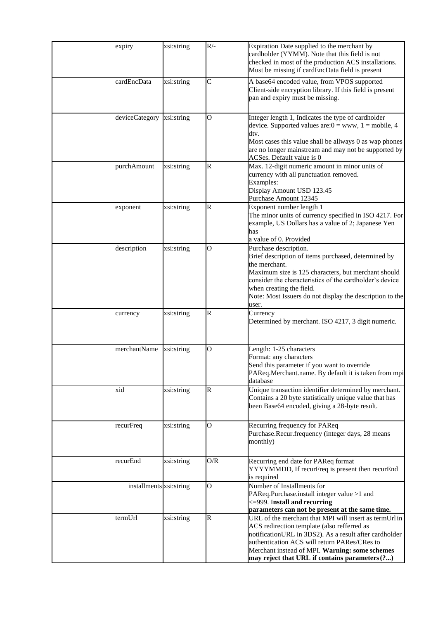| expiry                    | xsi:string | $R/-$          | Expiration Date supplied to the merchant by<br>cardholder (YYMM). Note that this field is not<br>checked in most of the production ACS installations.<br>Must be missing if cardEncData field is present                                                                                                            |
|---------------------------|------------|----------------|---------------------------------------------------------------------------------------------------------------------------------------------------------------------------------------------------------------------------------------------------------------------------------------------------------------------|
| cardEncData               | xsi:string | C              | A base64 encoded value, from VPOS supported<br>Client-side encryption library. If this field is present<br>pan and expiry must be missing.                                                                                                                                                                          |
| deviceCategory xsi:string |            | $\overline{O}$ | Integer length 1, Indicates the type of cardholder<br>device. Supported values are: $0 =$ www, $1 =$ mobile, 4<br>dtv.<br>Most cases this value shall be allways 0 as wap phones<br>are no longer mainstream and may not be supported by<br>ACSes. Default value is 0                                               |
| purchAmount               | xsi:string | $\mathsf{R}$   | Max. 12-digit numeric amount in minor units of<br>currency with all punctuation removed.<br>Examples:<br>Display Amount USD 123.45<br>Purchase Amount 12345                                                                                                                                                         |
| exponent                  | xsi:string | R              | Exponent number length 1<br>The minor units of currency specified in ISO 4217. For<br>example, US Dollars has a value of 2; Japanese Yen<br>has<br>a value of 0. Provided                                                                                                                                           |
| description               | xsi:string | O              | Purchase description.<br>Brief description of items purchased, determined by<br>the merchant.<br>Maximum size is 125 characters, but merchant should<br>consider the characteristics of the cardholder's device<br>when creating the field.<br>Note: Most Issuers do not display the description to the<br>user.    |
| currency                  | xsi:string | R              | Currency<br>Determined by merchant. ISO 4217, 3 digit numeric.                                                                                                                                                                                                                                                      |
| merchantName              | xsi:string | $\overline{O}$ | Length: 1-25 characters<br>Format: any characters<br>Send this parameter if you want to override<br>PAReq.Merchant.name. By default it is taken from mpi<br>database                                                                                                                                                |
| xid                       | xsi:string | R              | Unique transaction identifier determined by merchant.<br>Contains a 20 byte statistically unique value that has<br>been Base64 encoded, giving a 28-byte result.                                                                                                                                                    |
| recurFreq                 | xsi:string | O              | Recurring frequency for PAReq<br>Purchase.Recur.frequency (integer days, 28 means<br>monthly)                                                                                                                                                                                                                       |
| recurEnd                  | xsi:string | O/R            | Recurring end date for PAReq format<br>YYYYMMDD, If recurFreq is present then recurEnd<br>is required                                                                                                                                                                                                               |
| installments xsi:string   |            | $\overline{O}$ | Number of Installments for<br>PAReq.Purchase.install integer value >1 and<br><= 999. Install and recurring<br>parameters can not be present at the same time.                                                                                                                                                       |
| termUrl                   | xsi:string | R              | URL of the merchant that MPI will insert as termUrl in<br>ACS redirection template (also refferred as<br>notificationURL in 3DS2). As a result after cardholder<br>authentication ACS will return PARes/CRes to<br>Merchant instead of MPI. Warning: some schemes<br>may reject that URL if contains parameters (?) |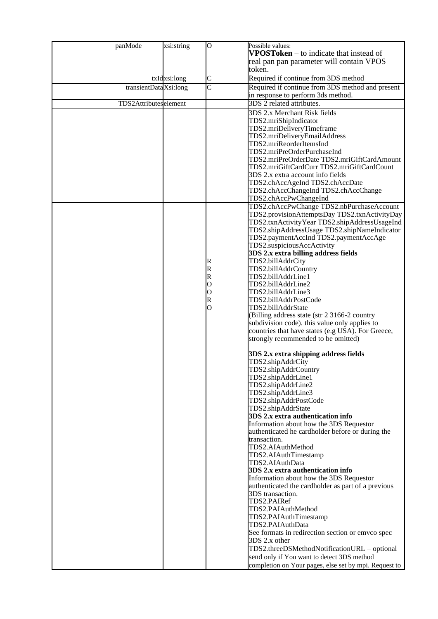| panMode                | xsi:string   | O      | Possible values:                                                 |
|------------------------|--------------|--------|------------------------------------------------------------------|
|                        |              |        | <b>VPOSToken</b> $-$ to indicate that instead of                 |
|                        |              |        | real pan pan parameter will contain VPOS                         |
|                        |              |        | token.                                                           |
|                        | txIdxsi:long | C      | Required if continue from 3DS method                             |
| transientData Xsi:long |              | Ċ      | Required if continue from 3DS method and present                 |
|                        |              |        | in response to perform 3ds method.                               |
| TDS2Attributeselement  |              |        | 3DS 2 related attributes.                                        |
|                        |              |        | 3DS 2.x Merchant Risk fields                                     |
|                        |              |        | TDS2.mriShipIndicator                                            |
|                        |              |        | TDS2.mriDeliveryTimeframe                                        |
|                        |              |        | TDS2.mriDeliveryEmailAddress                                     |
|                        |              |        | TDS2.mriReorderItemsInd                                          |
|                        |              |        | TDS2.mriPreOrderPurchaseInd                                      |
|                        |              |        | TDS2.mriPreOrderDate TDS2.mriGiftCardAmount                      |
|                        |              |        | TDS2.mriGiftCardCurr TDS2.mriGiftCardCount                       |
|                        |              |        | 3DS 2.x extra account info fields                                |
|                        |              |        | TDS2.chAccAgeInd TDS2.chAccDate                                  |
|                        |              |        | TDS2.chAccChangeInd TDS2.chAccChange                             |
|                        |              |        | TDS2.chAccPwChangeInd                                            |
|                        |              |        | TDS2.chAccPwChange TDS2.nbPurchaseAccount                        |
|                        |              |        | TDS2.provisionAttemptsDay TDS2.txnActivityDay                    |
|                        |              |        | TDS2.txnActivityYear TDS2.shipAddressUsageInd                    |
|                        |              |        | TDS2.shipAddressUsage TDS2.shipNameIndicator                     |
|                        |              |        | TDS2.paymentAccInd TDS2.paymentAccAge                            |
|                        |              |        | TDS2.suspiciousAccActivity                                       |
|                        |              |        | 3DS 2.x extra billing address fields                             |
|                        |              | R      | TDS2.billAddrCity                                                |
|                        |              | R<br>R | TDS2.billAddrCountry<br>TDS2.billAddrLine1                       |
|                        |              | О      | TDS2.billAddrLine2                                               |
|                        |              | О      | TDS2.billAddrLine3                                               |
|                        |              | R      | TDS2.billAddrPostCode                                            |
|                        |              | O      | TDS2.billAddrState                                               |
|                        |              |        | (Billing address state (str 2 3166-2 country                     |
|                        |              |        | subdivision code). this value only applies to                    |
|                        |              |        | countries that have states (e.g USA). For Greece,                |
|                        |              |        | strongly recommended to be omitted)                              |
|                        |              |        |                                                                  |
|                        |              |        | 3DS 2.x extra shipping address fields                            |
|                        |              |        | TDS2.shipAddrCity                                                |
|                        |              |        | TDS2.shipAddrCountry                                             |
|                        |              |        | TDS2.shipAddrLine1                                               |
|                        |              |        | TDS2.shipAddrLine2                                               |
|                        |              |        | TDS2.shipAddrLine3                                               |
|                        |              |        | TDS2.shipAddrPostCode                                            |
|                        |              |        | TDS2.shipAddrState                                               |
|                        |              |        | 3DS 2.x extra authentication info                                |
|                        |              |        | Information about how the 3DS Requestor                          |
|                        |              |        | authenticated he cardholder before or during the<br>transaction. |
|                        |              |        | TDS2.AIAuthMethod                                                |
|                        |              |        | TDS2.AIAuthTimestamp                                             |
|                        |              |        | TDS2.AIAuthData                                                  |
|                        |              |        | 3DS 2.x extra authentication info                                |
|                        |              |        | Information about how the 3DS Requestor                          |
|                        |              |        | authenticated the cardholder as part of a previous               |
|                        |              |        | 3DS transaction.                                                 |
|                        |              |        | TDS2.PAIRef                                                      |
|                        |              |        | TDS2.PAIAuthMethod                                               |
|                        |              |        | TDS2.PAIAuthTimestamp                                            |
|                        |              |        | TDS2.PAIAuthData                                                 |
|                        |              |        | See formats in redirection section or emvco spec                 |
|                        |              |        | 3DS 2.x other                                                    |
|                        |              |        | TDS2.threeDSMethodNotificationURL - optional                     |
|                        |              |        | send only if You want to detect 3DS method                       |
|                        |              |        | completion on Your pages, else set by mpi. Request to            |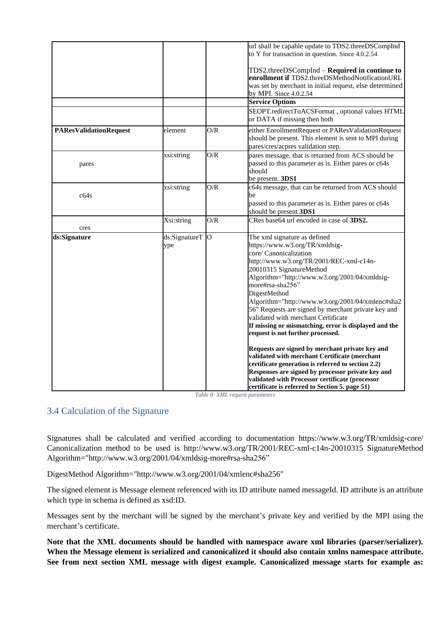|                               |                        |     | url shall be capable update to TDS2.threeDSCompInd<br>to Y for transaction in question. Since 4.0.2.54                                                                                                                                                                                                                                                                                                                                                                                                                                                                                                                                                                                                                                                                                                                   |
|-------------------------------|------------------------|-----|--------------------------------------------------------------------------------------------------------------------------------------------------------------------------------------------------------------------------------------------------------------------------------------------------------------------------------------------------------------------------------------------------------------------------------------------------------------------------------------------------------------------------------------------------------------------------------------------------------------------------------------------------------------------------------------------------------------------------------------------------------------------------------------------------------------------------|
|                               |                        |     | TDS2.threeDSCompInd - Required in continue to<br>enrollment if TDS2.threeDSMethodNotificationURL<br>was set by merchant in initial request, else determined<br>by MPI. Since 4.0.2.54                                                                                                                                                                                                                                                                                                                                                                                                                                                                                                                                                                                                                                    |
|                               |                        |     | <b>Service Options</b>                                                                                                                                                                                                                                                                                                                                                                                                                                                                                                                                                                                                                                                                                                                                                                                                   |
|                               |                        |     | SEOPT.redirectToACSFormat, optional values HTML<br>or DATA if missing then both                                                                                                                                                                                                                                                                                                                                                                                                                                                                                                                                                                                                                                                                                                                                          |
| <b>PAResValidationRequest</b> | element                | O/R | either EnrollmentRequest or PAResValidationRequest<br>should be present. This element is sent to MPI during<br>pares/cres/acpres validation step.                                                                                                                                                                                                                                                                                                                                                                                                                                                                                                                                                                                                                                                                        |
| pares                         | xsi:string             | O/R | pares message, that is returned from ACS should be<br>passed to this parameter as is. Either pares or c64s<br>should<br>be present. 3DS1                                                                                                                                                                                                                                                                                                                                                                                                                                                                                                                                                                                                                                                                                 |
| c64s                          | xsi:string             | O/R | c64s message, that can be returned from ACS should<br>be<br>passed to this parameter as is. Either pares or c64s<br>should be present 3DS1                                                                                                                                                                                                                                                                                                                                                                                                                                                                                                                                                                                                                                                                               |
| cres                          | Xsi:string             | O/R | CRes base64 url encoded in case of 3DS2.                                                                                                                                                                                                                                                                                                                                                                                                                                                                                                                                                                                                                                                                                                                                                                                 |
| ds:Signature                  | ds:SignatureT O<br>ype |     | The xml signature as defined<br>https://www.w3.org/TR/xmldsig-<br>core/ Canonicalization<br>http://www.w3.org/TR/2001/REC-xml-c14n-<br>20010315 SignatureMethod<br>Algorithm="http://www.w3.org/2001/04/xmldsig-<br>more#rsa-sha256"<br>DigestMethod<br>Algorithm="http://www.w3.org/2001/04/xmlenc#sha2<br>56" Requests are signed by merchant private key and<br>validated with merchant Certificate<br>If missing or mismatching, error is displayed and the<br>request is not further processed.<br>Requests are signed by merchant private key and<br>validated with merchant Certificate (merchant<br>certificate generation is referred to section 2.2)<br>Responses are signed by processor private key and<br>validated with Processor certificate (processor<br>certificate is referred to Section 5. page 51) |

*Table 8: XML request parameters*

### <span id="page-27-0"></span>3.4 Calculation of the Signature

Signatures shall be calculated and verified according to documentation https://www.w3.org/TR/xmldsig-core/ Canonicalization method to be used is http://www.w3.org/TR/2001/REC-xml-c14n-20010315 SignatureMethod Algorithm="http://www.w3.org/2001/04/xmldsig-more#rsa-sha256"

DigestMethod Algorithm="http://www.w3.org/2001/04/xmlenc#sha256"

The signed element is Message element referenced with its ID attribute named messageId. ID attribute is an attribute which type in schema is defined as xsd:ID.

Messages sent by the merchant will be signed by the merchant's private key and verified by the MPI using the merchant's certificate.

**Note that the XML documents should be handled with namespace aware xml libraries (parser/serializer). When the Message element is serialized and canonicalized it should also contain xmlns namespace attribute. See from next section XML message with digest example. Canonicalized message starts for example as:**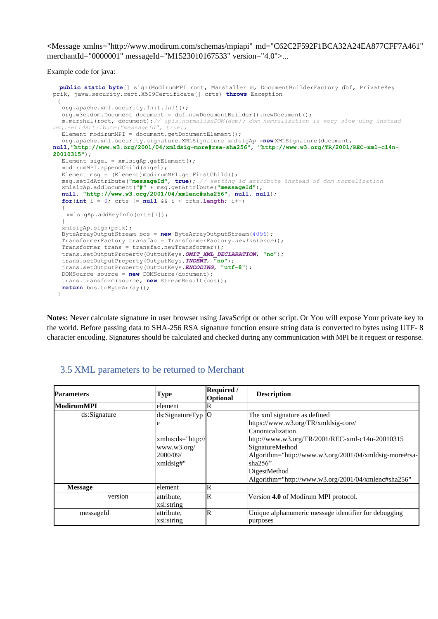**<**Message xmlns="http://www.modirum.com/schemas/mpiapi" md="C62C2F592F1BCA32A24EA877CFF7A461" merchantId="0000001" messageId="M1523010167533" version="4.0">...

Example code for java:

```
public static byte[] sign(ModirumMPI root, Marshaller m, DocumentBuilderFactory dbf, PrivateKey 
prik, java.security.cert.X509Certificate[] crts) throws Exception
 {
  org.apache.xml.security.Init.init();
  org.w3c.dom.Document document = dbf.newDocumentBuilder().newDocument();
  m.marshal(root, document);// apis.normalizeDOM(dom); dom nomralization is very slow uing instead 
msg.setIdAttribute("messageId", true);
  Element modirumMPI = document.getDocumentElement();
  org.apache.xml.security.signature.XMLSignature xmlsigAp =new XMLSignature(document,
null,"http://www.w3.org/2001/04/xmldsig-more#rsa-sha256", "http://www.w3.org/TR/2001/REC-xml-c14n-
20010315");
  Element sigel = xmlsigAp.getElement(); 
  modirumMPI.appendChild(sigel);
  Element msg = (Element)modirumMPI.getFirstChild();
  msg.setIdAttribute("messageId", true); // setting id attribute instead of dom normalization
  xmlsigAp.addDocument("#" + msg.getAttribute("messageId"), 
  null, "http://www.w3.org/2001/04/xmlenc#sha256", null, null); 
  for(int i = 0; crts != null && i < crts.length; i++){
   xmlsigAp.addKeyInfo(crts[i]);
  }
  xmlsigAp.sign(prik);
  ByteArrayOutputStream bos = new ByteArrayOutputStream(4096); 
  TransformerFactory transfac = TransformerFactory.newInstance(); 
  Transformer trans = transfac.newTransformer(); 
  trans.setOutputProperty(OutputKeys.OMIT_XML_DECLARATION, "no"); 
  trans.setOutputProperty(OutputKeys.INDENT, "no"); 
  trans.setOutputProperty(OutputKeys.ENCODING, "utf-8"); 
  DOMSource source = new DOMSource(document); 
  trans.transform(source, new StreamResult(bos));
  return bos.toByteArray();
 }
```
**Notes:** Never calculate signature in user browser using JavaScript or other script. Or You will expose Your private key to the world. Before passing data to SHA-256 RSA signature function ensure string data is converted to bytes using UTF- 8 character encoding. Signatures should be calculated and checked during any communication with MPI be it request or response.

| <b>Parameters</b> | Type                                                                                | Required /<br>Optional | <b>Description</b>                                                                                                                                                                                                                                                                                            |
|-------------------|-------------------------------------------------------------------------------------|------------------------|---------------------------------------------------------------------------------------------------------------------------------------------------------------------------------------------------------------------------------------------------------------------------------------------------------------|
| <b>ModirumMPI</b> | element                                                                             | ĸ                      |                                                                                                                                                                                                                                                                                                               |
| ds:Signature      | ds:SignatureTyp O<br>e<br>xmlns:ds="http://<br>www.w3.org/<br>2000/09/<br>xmldsig#" |                        | The xml signature as defined<br>https://www.w3.org/TR/xmldsig-core/<br>Canonicalization<br>http://www.w3.org/TR/2001/REC-xml-c14n-20010315<br>SignatureMethod<br>Algorithm="http://www.w3.org/2001/04/xmldsig-more#rsa-<br>sha $256$ "<br>DigestMethod<br>Algorithm="http://www.w3.org/2001/04/xmlenc#sha256" |
| <b>Message</b>    | lelement                                                                            | R                      |                                                                                                                                                                                                                                                                                                               |
| version           | attribute,<br>xsi:string                                                            | R                      | Version 4.0 of Modirum MPI protocol.                                                                                                                                                                                                                                                                          |
| messageId         | attribute,<br>xsi:string                                                            | R                      | Unique alphanumeric message identifier for debugging<br>purposes                                                                                                                                                                                                                                              |

### <span id="page-28-0"></span>3.5 XML parameters to be returned to Merchant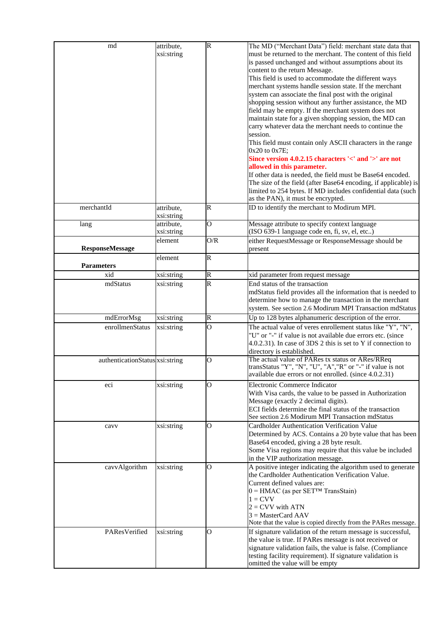| md                              | attribute,               | $\overline{\mathsf{R}}$ | The MD ("Merchant Data") field: merchant state data that                                                                      |
|---------------------------------|--------------------------|-------------------------|-------------------------------------------------------------------------------------------------------------------------------|
|                                 | xsi:string               |                         | must be returned to the merchant. The content of this field                                                                   |
|                                 |                          |                         | is passed unchanged and without assumptions about its                                                                         |
|                                 |                          |                         | content to the return Message.                                                                                                |
|                                 |                          |                         | This field is used to accommodate the different ways                                                                          |
|                                 |                          |                         | merchant systems handle session state. If the merchant                                                                        |
|                                 |                          |                         | system can associate the final post with the original                                                                         |
|                                 |                          |                         | shopping session without any further assistance, the MD                                                                       |
|                                 |                          |                         | field may be empty. If the merchant system does not                                                                           |
|                                 |                          |                         |                                                                                                                               |
|                                 |                          |                         | maintain state for a given shopping session, the MD can                                                                       |
|                                 |                          |                         | carry whatever data the merchant needs to continue the                                                                        |
|                                 |                          |                         | session.                                                                                                                      |
|                                 |                          |                         | This field must contain only ASCII characters in the range                                                                    |
|                                 |                          |                         | $0x20$ to $0x7E$ ;<br>Since version 4.0.2.15 characters '<' and '>' are not                                                   |
|                                 |                          |                         |                                                                                                                               |
|                                 |                          |                         | allowed in this parameter.                                                                                                    |
|                                 |                          |                         | If other data is needed, the field must be Base64 encoded.<br>The size of the field (after Base64 encoding, if applicable) is |
|                                 |                          |                         |                                                                                                                               |
|                                 |                          |                         | limited to 254 bytes. If MD includes confidential data (such<br>as the PAN), it must be encrypted.                            |
|                                 |                          |                         |                                                                                                                               |
| merchantId                      | attribute,<br>xsi:string | $\mathbb R$             | ID to identify the merchant to Modirum MPI.                                                                                   |
| lang                            | attribute,               | $\overline{O}$          | Message attribute to specify context language                                                                                 |
|                                 | xsi:string               |                         | (ISO 639-1 language code en, fi, sv, el, etc)                                                                                 |
|                                 | element                  | O/R                     | either RequestMessage or ResponseMessage should be                                                                            |
| <b>ResponseMessage</b>          |                          |                         | present                                                                                                                       |
|                                 | element                  | $\overline{R}$          |                                                                                                                               |
| <b>Parameters</b>               |                          |                         |                                                                                                                               |
| xid                             | xsi:string               | $\mathsf R$             | xid parameter from request message                                                                                            |
| mdStatus                        | xsi:string               | $\overline{\mathsf{R}}$ | End status of the transaction                                                                                                 |
|                                 |                          |                         | mdStatus field provides all the information that is needed to                                                                 |
|                                 |                          |                         | determine how to manage the transaction in the merchant                                                                       |
|                                 |                          |                         | system. See section 2.6 Modirum MPI Transaction mdStatus                                                                      |
| mdErrorMsg                      | xsi:string               | R                       | Up to 128 bytes alphanumeric description of the error.                                                                        |
| enrollmenStatus                 | xsi:string               | $\overline{O}$          | The actual value of veres enrollement status like " $Y''$ , "N",                                                              |
|                                 |                          |                         | "U" or "-" if value is not available due errors etc. (since                                                                   |
|                                 |                          |                         | 4.0.2.31). In case of 3DS 2 this is set to Y if connection to                                                                 |
|                                 |                          |                         | directory is established.                                                                                                     |
| authenticationStatus xsi:string |                          | $\mathbf O$             | The actual value of PARes tx status or ARes/RReq                                                                              |
|                                 |                          |                         | transStatus "Y", "N", "U", "A", "R" or "-" if value is not                                                                    |
|                                 |                          |                         | available due errors or not enrolled. (since 4.0.2.31)                                                                        |
| eci                             | xsi:string               | O                       | Electronic Commerce Indicator                                                                                                 |
|                                 |                          |                         | With Visa cards, the value to be passed in Authorization                                                                      |
|                                 |                          |                         | Message (exactly 2 decimal digits).                                                                                           |
|                                 |                          |                         | ECI fields determine the final status of the transaction                                                                      |
|                                 |                          |                         | See section 2.6 Modirum MPI Transaction mdStatus                                                                              |
| cavv                            | xsi:string               | O                       | Cardholder Authentication Verification Value                                                                                  |
|                                 |                          |                         | Determined by ACS. Contains a 20 byte value that has been                                                                     |
|                                 |                          |                         | Base64 encoded, giving a 28 byte result.                                                                                      |
|                                 |                          |                         | Some Visa regions may require that this value be included                                                                     |
|                                 |                          |                         | in the VIP authorization message.                                                                                             |
| cavvAlgorithm                   | xsi:string               | О                       | A positive integer indicating the algorithm used to generate                                                                  |
|                                 |                          |                         | the Cardholder Authentication Verification Value.                                                                             |
|                                 |                          |                         | Current defined values are:                                                                                                   |
|                                 |                          |                         | $0 =$ HMAC (as per SET <sup>TM</sup> TransStain)                                                                              |
|                                 |                          |                         | $1 = CVV$                                                                                                                     |
|                                 |                          |                         | $2 = CVV$ with ATN                                                                                                            |
|                                 |                          |                         | $3 = MasterCard AAV$                                                                                                          |
|                                 |                          |                         | Note that the value is copied directly from the PARes message.                                                                |
| PAResVerified                   | xsi:string               | O                       | If signature validation of the return message is successful,                                                                  |
|                                 |                          |                         | the value is true. If PARes message is not received or                                                                        |
|                                 |                          |                         | signature validation fails, the value is false. (Compliance                                                                   |
|                                 |                          |                         | testing facility requirement). If signature validation is                                                                     |
|                                 |                          |                         | omitted the value will be empty                                                                                               |
|                                 |                          |                         |                                                                                                                               |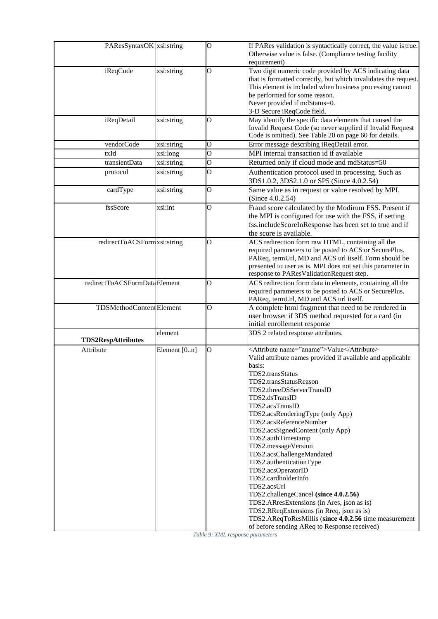| PAResSyntaxOK xsi:string       |              | $\overline{O}$          | If PARes validation is syntactically correct, the value is true.<br>Otherwise value is false. (Compliance testing facility<br>requirement)                                                                                                                                                                                                                                                                                                                                                                                                                                                                                                                                                                                                         |
|--------------------------------|--------------|-------------------------|----------------------------------------------------------------------------------------------------------------------------------------------------------------------------------------------------------------------------------------------------------------------------------------------------------------------------------------------------------------------------------------------------------------------------------------------------------------------------------------------------------------------------------------------------------------------------------------------------------------------------------------------------------------------------------------------------------------------------------------------------|
| iReqCode                       | xsi:string   | O                       | Two digit numeric code provided by ACS indicating data<br>that is formatted correctly, but which invalidates the request.<br>This element is included when business processing cannot<br>be performed for some reason.<br>Never provided if mdStatus=0.<br>3-D Secure iReqCode field.                                                                                                                                                                                                                                                                                                                                                                                                                                                              |
| iReqDetail                     | xsi:string   | O                       | May identify the specific data elements that caused the<br>Invalid Request Code (so never supplied if Invalid Request<br>Code is omitted). See Table 20 on page 60 for details.                                                                                                                                                                                                                                                                                                                                                                                                                                                                                                                                                                    |
| vendorCode                     | xsi:string   | O                       | Error message describing iReqDetail error.                                                                                                                                                                                                                                                                                                                                                                                                                                                                                                                                                                                                                                                                                                         |
| txId                           | xsi:long     | $\overline{O}$          | MPI internal transaction id if available                                                                                                                                                                                                                                                                                                                                                                                                                                                                                                                                                                                                                                                                                                           |
| transientData                  | xsi:string   | $\overline{\mathrm{o}}$ | Returned only if cloud mode and mdStatus=50                                                                                                                                                                                                                                                                                                                                                                                                                                                                                                                                                                                                                                                                                                        |
| protocol                       | xsi:string   | $\overline{O}$          | Authentication protocol used in processing. Such as<br>3DS1.0.2, 3DS2.1.0 or SP5 (Since 4.0.2.54)                                                                                                                                                                                                                                                                                                                                                                                                                                                                                                                                                                                                                                                  |
| cardType                       | xsi:string   | O                       | Same value as in request or value resolved by MPI.<br>(Since $4.0.2.54$ )                                                                                                                                                                                                                                                                                                                                                                                                                                                                                                                                                                                                                                                                          |
| fssScore                       | xsi:int      | O                       | Fraud score calculated by the Modirum FSS. Present if<br>the MPI is configured for use with the FSS, if setting<br>fss.includeScoreInResponse has been set to true and if<br>the score is available.                                                                                                                                                                                                                                                                                                                                                                                                                                                                                                                                               |
| redirectToACSFormxsi:string    |              | O                       | ACS redirection form raw HTML, containing all the<br>required parameters to be posted to ACS or SecurePlus.<br>PAReq, termUrl, MD and ACS url itself. Form should be<br>presented to user as is. MPI does not set this parameter in<br>response to PAResValidationRequest step.                                                                                                                                                                                                                                                                                                                                                                                                                                                                    |
| redirectToACSFormDataElement   |              | O                       | ACS redirection form data in elements, containing all the<br>required parameters to be posted to ACS or SecurePlus.<br>PAReq, termUrl, MD and ACS url itself.                                                                                                                                                                                                                                                                                                                                                                                                                                                                                                                                                                                      |
| <b>TDSMethodContentElement</b> |              | O                       | A complete html fragment that need to be rendered in<br>user browser if 3DS method requested for a card (in<br>initial enrollement response                                                                                                                                                                                                                                                                                                                                                                                                                                                                                                                                                                                                        |
| <b>TDS2RespAttributes</b>      | element      |                         | 3DS 2 related response attributes.                                                                                                                                                                                                                                                                                                                                                                                                                                                                                                                                                                                                                                                                                                                 |
| Attribute                      | Element [0n] | $\mathbf{O}$            | <attribute name="aname">Value</attribute><br>Valid attribute names provided if available and applicable<br>basis:<br>TDS2.transStatus<br>TDS2.transStatusReason<br>TDS2.threeDSServerTransID<br>TDS2.dsTransID<br>TDS2.acsTransID<br>TDS2.acsRenderingType (only App)<br>TDS2.acsReferenceNumber<br>TDS2.acsSignedContent (only App)<br>TDS2.authTimestamp<br>TDS2.messageVersion<br>TDS2.acsChallengeMandated<br>TDS2.authenticationType<br>TDS2.acsOperatorID<br>TDS2.cardholderInfo<br>TDS2.acsUrl<br>TDS2.challengeCancel (since 4.0.2.56)<br>TDS2.ARresExtensions (in Ares, json as is)<br>TDS2.RReqExtensions (in Rreq, json as is)<br>TDS2.AReqToResMillis (since 4.0.2.56 time measurement<br>of before sending AReq to Response received) |

*Table 9: XML response parameters*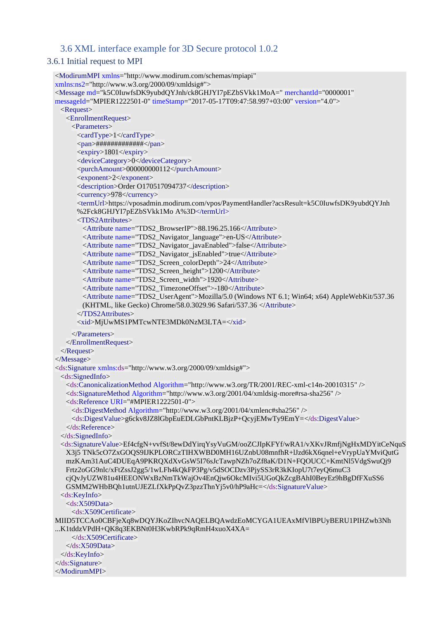### <span id="page-31-0"></span>3.6 XML interface example for 3D Secure protocol 1.0.2

#### <span id="page-31-1"></span>3.6.1 Initial request to MPI

```
<ModirumMPI xmlns="http://www.modirum.com/schemas/mpiapi" 
xmlns:ns2="http://www.w3.org/2000/09/xmldsig#">
<Message md="k5C0IuwfsDK9yubdQYJnh/ck8GHJYI7pEZbSVkk1MoA=" merchantId="0000001"
messageId="MPIER1222501-0" timeStamp="2017-05-17T09:47:58.997+03:00" version="4.0">
 <Request>
   <EnrollmentRequest>
    <Parameters>
      <cardType>1</cardType>
      <pan>#############</pan>
      <expiry>1801</expiry>
      <deviceCategory>0</deviceCategory>
      <purchAmount>000000000112</purchAmount>
      <exponent>2</exponent>
      <description>Order O170517094737</description>
      <currency>978</currency>
      <termUrl>https://vposadmin.modirum.com/vpos/PaymentHandler?acsResult=k5C0IuwfsDK9yubdQYJnh
      %2Fck8GHJYI7pEZbSVkk1Mo A%3D</termUrl>
      <TDS2Attributes>
       <Attribute name="TDS2_BrowserIP">88.196.25.166</Attribute>
       <Attribute name="TDS2_Navigator_language">en-US</Attribute>
       <Attribute name="TDS2_Navigator_javaEnabled">false</Attribute>
       <Attribute name="TDS2_Navigator_jsEnabled">true</Attribute>
       <Attribute name="TDS2_Screen_colorDepth">24</Attribute>
       <Attribute name="TDS2_Screen_height">1200</Attribute>
       <Attribute name="TDS2_Screen_width">1920</Attribute>
       <Attribute name="TDS2_TimezoneOffset">-180</Attribute>
       <Attribute name="TDS2_UserAgent">Mozilla/5.0 (Windows NT 6.1; Win64; x64) AppleWebKit/537.36 
       (KHTML, like Gecko) Chrome/58.0.3029.96 Safari/537.36 </Attribute>
      </TDS2Attributes>
      <xid>MjUwMS1PMTcwNTE3MDk0NzM3LTA=</xid>
    </Parameters>
  </EnrollmentRequest>
 </Request>
</Message>
<ds:Signature xmlns:ds="http://www.w3.org/2000/09/xmldsig#">
 <ds:SignedInfo>
   <ds:CanonicalizationMethod Algorithm="http://www.w3.org/TR/2001/REC-xml-c14n-20010315" />
   <ds:SignatureMethod Algorithm="http://www.w3.org/2001/04/xmldsig-more#rsa-sha256" />
   <ds:Reference URI="#MPIER1222501-0">
    <ds:DigestMethod Algorithm="http://www.w3.org/2001/04/xmlenc#sha256" />
    <ds:DigestValue>g6ckv8JZ8lGbpEuEDLGbPntKLBjzP+QcyjEMwTy9EmY=</ds:DigestValue>
   </ds:Reference>
 </ds:SignedInfo>
 <ds:SignatureValue>Ef4cfgN+vvfSt/8ewDdYirqYsyVuGM/ooZCJIpKFYf/wRA1/vXKvJRmfjNgHxMDYitCeNquS
   X3j5 TNk5cO7ZxGOQS9IJKPLORCzTIHXWBD0MH16UZnbU08mnfhR+lJzd6kX6qnel+eVrypUaYMviQutG 
   mzKAm31AuC4DUEqA9PKRQXdXvGsW5I76sJcTawpNZh7oZf8aK/D1N+FQOUCC+KmtNl5VdgSwuQj9 
   Frtz2oGG9nlc/xFtZssJ2gg5/1wLFh4kQkFP3Pg/v5dSOCDzv3PjySS3rR3kKIopU7t7eyQ6muC3 
   cjQvJyUZW81u4HEEONWxBzNmTkWajOv4EnQjw6OkcMIvi5UGoQkZcgBAhI0BeyEz9hBgDfFXuSS6 
   GSMM2WHbBQh1utnUJEZLfXkPpQvZ3pzzThnYj5v0/hP9aHc=</ds:SignatureValue>
 <ds:KeyInfo>
   <ds:X509Data>
    <ds:X509Certificate>
MIID5TCCAo0CBFjeXq8wDQYJKoZIhvcNAQELBQAwdzEoMCYGA1UEAxMfVlBPUyBERU1PIHZwb3Nh
...K1tddzVPdH+QK8q3EKBNt0H3KwbRPk9qRmH4xuoX4XA=
    </ds:X509Certificate>
   </ds:X509Data>
 </ds:KeyInfo>
</ds:Signature>
</ModirumMPI>
```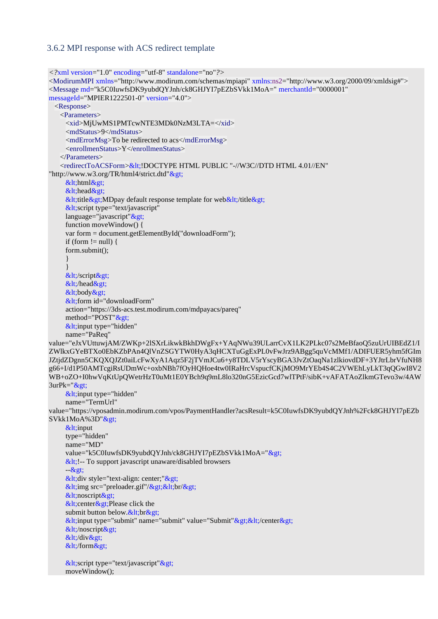#### <span id="page-32-0"></span>3.6.2 MPI response with ACS redirect template

```
<?xml version="1.0" encoding="utf-8" standalone="no"?>
<ModirumMPI xmlns="http://www.modirum.com/schemas/mpiapi" xmlns:ns2="http://www.w3.org/2000/09/xmldsig#">
<Message md="k5C0IuwfsDK9yubdQYJnh/ck8GHJYI7pEZbSVkk1MoA=" merchantId="0000001"
messageId="MPIER1222501-0" version="4.0">
  <Response>
    <Parameters>
    <xid>MjUwMS1PMTcwNTE3MDk0NzM3LTA=</xid>
      <mdStatus>9</mdStatus>
      <mdErrorMsg>To be redirected to acs</mdErrorMsg>
      <enrollmenStatus>Y</enrollmenStatus>
    </Parameters>
   <redirectToACSForm>&lt;!DOCTYPE HTML PUBLIC "-//W3C//DTD HTML 4.01//EN"
"http://www.w3.org/TR/html4/strict.dtd">
    <html&gt;
    &lt; head&gt;
    &dt;title>gt;MDpay default response template for web&dt;/title>gt;
    &dt; script type="text/javascript"
    language='javascript''\>gt; function moveWindow() {
     var form = document.getElementById("downloadForm");
    if (form != null) {
     form.submit();
 }
 }
    </script&gt;
    <lt;/head<gt;
    <body&gt;
    <lt:form id="downloadForm"
      action="https://3ds-acs.test.modirum.com/mdpayacs/pareq"
    method="POST">
    &lt; input type="hidden"
     name="PaReq"
value="eJxVUttuwjAM/ZWKp+2lSXrLikwkBkhDWgFx+YAqNWu39ULarrCvX1LK2PLkc07s2MeBfaoQ5zuUrUIBEdZ1/I
ZWlkxGYeBTXo0EbKZbPAn4QlVnZSGYTW0HyA3qHCXTuGgExPL0vFwJrz9ABgg5quVcMMf1/ADIFUER5yhm5fGIm
JZtjdZDgnn5CKQXQJZt0aiLcFwXyA1Aqz5F2jTVmJCu6+y8TDLV5rYscyBGA3JvZtOaqNa1zlkiovdDF+3YJtrLbrVfuNH8
g66+I/d1P50AMTcgiRsUDmWc+oxbNBh7fOyHQHoe4tw0IRaHrcVspucfCKjMO9MrYEb4S4C2VWEhLyLkT3qQGwI8V2
WB+oZO+I0hwVqKtUpQWetrHzT0uMt1E0YBch9q9mL8lo320nG5EzicGcd7wlTPtF/sibK+vAFATAoZlkmGTevo3w/4AW
3urPk="&gt:
    &lt; input type="hidden"
     name="TermUrl"
value="https://vposadmin.modirum.com/vpos/PaymentHandler?acsResult=k5C0IuwfsDK9yubdQYJnh%2Fck8GHJYI7pEZb
SVkk1MoA%3D">
    &lt; input
     type="hidden"
     name="MD"
    value="k5C0IuwfsDK9yubdQYJnh/ck8GHJYI7pEZbSVkk1MoA=">
    < 1;! -- To support javascript unaware/disabled browsers
     -\>gt;&lt; div style="text-align: center;"&gt;
    &dt; img src="preloader.gif"/&dt;&dt;&dt;&dt;
    <noscript&gt;
    &dt: center &dt: Please click the
     submit button below.<br>
    <lt;input type="submit" name="submit" value="Submit"<gt;<lt;/center<gt;
    <lt;/noscript>gt;
    &dt;/div>;
    </form&gt;
    &lt;script type="text/javascript"&gt;
     moveWindow();
```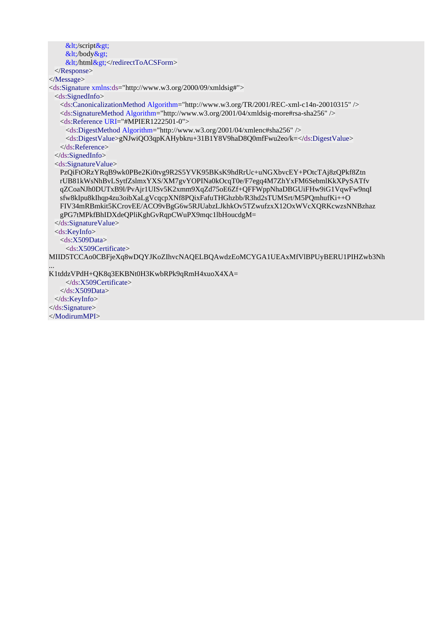```
</script&gt;
    &lt:/body>
    <lt;/html></redirectToACSForm>
  </Response>
</Message>
<ds:Signature xmlns:ds="http://www.w3.org/2000/09/xmldsig#">
  <ds:SignedInfo>
    <ds:CanonicalizationMethod Algorithm="http://www.w3.org/TR/2001/REC-xml-c14n-20010315" />
    <ds:SignatureMethod Algorithm="http://www.w3.org/2001/04/xmldsig-more#rsa-sha256" />
    <ds:Reference URI="#MPIER1222501-0">
     <ds:DigestMethod Algorithm="http://www.w3.org/2001/04/xmlenc#sha256" />
     <ds:DigestValue>gNJwiQO3qpKAHybkru+31B1Y8V9haD8Q0mfFwu2eo/k=</ds:DigestValue>
    </ds:Reference>
  </ds:SignedInfo>
  <ds:SignatureValue>
    PzQiFtORzYRqB9wk0PBe2Ki0tvg9R2S5YVK95BKsK9hdRrUc+uNGXbvcEY+POtcTAj8zQPkf8Ztn
    rUB81kWsNhBvLSytfZslmxYXS/XM7gvYOPINa0kOcqT0e/F7egq4M7ZhYxFM6SebmlKkXPySATfv
    qZCoaNJh0DUTxB9l/PvAjr1UISv5K2xmm9XqZd75oE6Zf+QFFWppNhaDBGUiFHw9iG1VqwFw9nqI
    sfw8kIpu8kIhqp4zu3oibXaLgVcqcpXNf8PQixFafuTHGhzbb/R3hd2sTUMSrt/M5PQmhufKi++O
    FIV34mRBmkit5KCrovEE/ACO9vBgG6w5RJUabzLJkhkOv5TZwufzxX12OxWVcXQRKcwzsNNBzhaz
    gPG7tMPkfBhIDXdeQPliKghGvRqpCWuPX9mqc1lbHoucdgM=
  </ds:SignatureValue>
  <ds:KeyInfo>
    <ds:X509Data>
     <ds:X509Certificate>
MIID5TCCAo0CBFjeXq8wDQYJKoZIhvcNAQELBQAwdzEoMCYGA1UEAxMfVlBPUyBERU1PIHZwb3Nh
...
```
K1tddzVPdH+QK8q3EKBNt0H3KwbRPk9qRmH4xuoX4XA=

 </ds:X509Certificate> </ds:X509Data> </ds:KeyInfo> </ds:Signature> </ModirumMPI>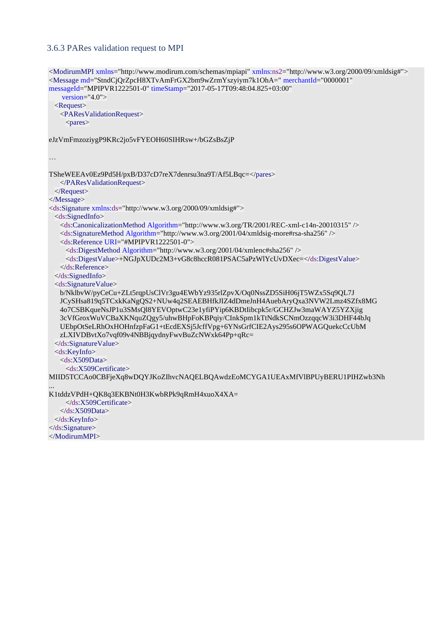#### <span id="page-34-0"></span>3.6.3 PARes validation request to MPI

```
<ModirumMPI xmlns="http://www.modirum.com/schemas/mpiapi" xmlns:ns2="http://www.w3.org/2000/09/xmldsig#">
<Message md="StndCjQrZpcH8XTvAmFrGX2bm9wZrmYszyiym7k1OhA=" merchantId="0000001" 
messageId="MPIPVR1222501-0" timeStamp="2017-05-17T09:48:04.825+03:00"
    version="4.0">
  <Request>
    <PAResValidationRequest>
    <pares>
eJzVmFmzoziygP9KRc2jo5vFYEOH60SIHRsw+/bGZsBsZjP
…
TSheWEEAv0Ez9Pd5H/pxB/D37cD7reX7denrsu3na9T/Af5LBqc=</pares>
    </PAResValidationRequest>
  </Request>
</Message>
<ds:Signature xmlns:ds="http://www.w3.org/2000/09/xmldsig#">
  <ds:SignedInfo>
    <ds:CanonicalizationMethod Algorithm="http://www.w3.org/TR/2001/REC-xml-c14n-20010315" />
    <ds:SignatureMethod Algorithm="http://www.w3.org/2001/04/xmldsig-more#rsa-sha256" />
    <ds:Reference URI="#MPIPVR1222501-0">
     <ds:DigestMethod Algorithm="http://www.w3.org/2001/04/xmlenc#sha256" />
     <ds:DigestValue>+NGJpXUDc2M3+vG8c8hccR081PSAC5aPzWlYcUvDXec=</ds:DigestValue>
    </ds:Reference>
  </ds:SignedInfo>
  <ds:SignatureValue>
    b/NklbvW/pyCeCu+ZLt5rqpUsClVr3gu4EWbYz935rlZpvX/Oq0NssZD5SiH06jT5WZx5Sq9QL7J
    JCySHsa819q5TCxkKaNgQS2+NUw4q2SEAEBHfkJIZ4dDmeJnH4AuebAryQxa3NVW2Lmz4SZfx8MG
    4o7CSBKqueNsJP1u3SMsQl8YEVOptwC23e1yfiPYip6KBDtIibcpk5r/GCHZJw3maWAYZ5YZXjig
    3cVfGroxWuVCBaXKNquZQgy5/uhwBHpFoKBPqiy/CInkSpm1kTtNdkSCNmOzzqqcW3i3DHF44bJq
    UEbpOtSeLRhOxHOHnfzpFaG1+tEcdEXSj5JcffVpg+6YNsGrfCIE2Ays295s6OPWAGQuekcCcUbM
    zLXIVDBvtXo7vqf09v4NBBjqydnyFwvBuZcNWxk64Pp+qRc=
  </ds:SignatureValue>
  <ds:KeyInfo>
    <ds:X509Data>
     <ds:X509Certificate>
MIID5TCCAo0CBFjeXq8wDQYJKoZIhvcNAQELBQAwdzEoMCYGA1UEAxMfVlBPUyBERU1PIHZwb3Nh
...
K1tddzVPdH+QK8q3EKBNt0H3KwbRPk9qRmH4xuoX4XA=
     </ds:X509Certificate>
    </ds:X509Data>
  </ds:KeyInfo>
</ds:Signature>
```
</ModirumMPI>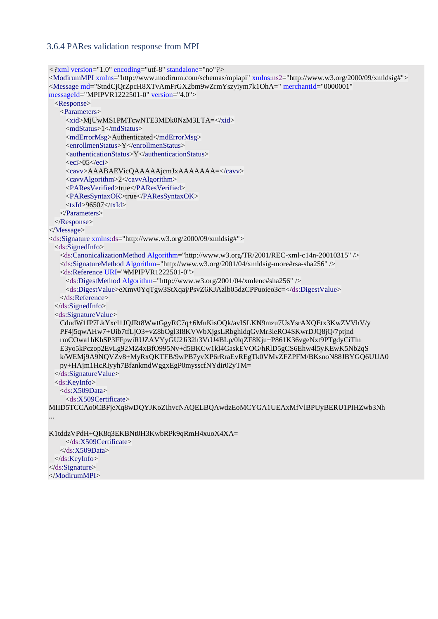#### <span id="page-35-0"></span>3.6.4 PARes validation response from MPI

```
<?xml version="1.0" encoding="utf-8" standalone="no"?>
<ModirumMPI xmlns="http://www.modirum.com/schemas/mpiapi" xmlns:ns2="http://www.w3.org/2000/09/xmldsig#">
<Message md="StndCjQrZpcH8XTvAmFrGX2bm9wZrmYszyiym7k1OhA=" merchantId="0000001" 
messageId="MPIPVR1222501-0" version="4.0">
  <Response>
    <Parameters>
      <xid>MjUwMS1PMTcwNTE3MDk0NzM3LTA=</xid>
      <mdStatus>1</mdStatus>
     <mdErrorMsg>Authenticated</mdErrorMsg>
     <enrollmenStatus>Y</enrollmenStatus>
    \alpha <authenticationStatus>Y</authenticationStatus>
    \langleeci>05\langleeci>
     <cavv>AAABAEVicQAAAAAjcmJxAAAAAAA=</cavv>
     <cavvAlgorithm>2</cavvAlgorithm>
     <PAResVerified>true</PAResVerified>
     <PAResSyntaxOK>true</PAResSyntaxOK>
    \langle xId\rangle96507\langle xId\rangle </Parameters>
  </Response>
</Message>
<ds:Signature xmlns:ds="http://www.w3.org/2000/09/xmldsig#">
  <ds:SignedInfo>
    <ds:CanonicalizationMethod Algorithm="http://www.w3.org/TR/2001/REC-xml-c14n-20010315" />
    <ds:SignatureMethod Algorithm="http://www.w3.org/2001/04/xmldsig-more#rsa-sha256" />
    <ds:Reference URI="#MPIPVR1222501-0">
      <ds:DigestMethod Algorithm="http://www.w3.org/2001/04/xmlenc#sha256" />
      <ds:DigestValue>eXmv0YqTgw3StXqaj/PsvZ6KJAzlb05dzCPPuoieo3c=</ds:DigestValue>
    </ds:Reference>
  </ds:SignedInfo>
  <ds:SignatureValue>
    CdudW1IP7LkYxcl1JQJRt8WwtGgyRC7q+6MuKisOQk/avISLKN9mzu7UsYsrAXQEtx3KwZVVhV/y
    PF4j5qwAHw7+Uib7tfLjO3+vZ8bOgl3I8KVWbXjgsLRbghidqGvMr3ieRO4SKwrDJQ8jQ/7ptjnd
    rmCOwa1hKhSP3FFpwiRUZAVYyGU2Ji32h3VrU4BLp/0lqZF8Kju+P861K36vgeNxt9PTgdyCiTln
    E3yo5kPczop2EvLg92MZ4xBfO995Nv+d5BKCw1kl4GaskEVOG/hRlD5gCS6Ehw4l5yKEwK5Nb2qS
    k/WEMj9A9NQVZv8+MyRxQKTFB/9wPB7yvXP6rRraEvREgTk0VMvZFZPFM/BKsnoN88JBYGQ6UUA0
    py+HAjm1HcRIyyh7BfznkmdWggxEgP0mysscfNYdir02yTM=
  </ds:SignatureValue>
  <ds:KeyInfo>
    <ds:X509Data>
      <ds:X509Certificate>
MIID5TCCAo0CBFjeXq8wDQYJKoZIhvcNAQELBQAwdzEoMCYGA1UEAxMfVlBPUyBERU1PIHZwb3Nh
...
K1tddzVPdH+QK8q3EKBNt0H3KwbRPk9qRmH4xuoX4XA=
```
 </ds:X509Certificate>  $\langle ds: X509Data \rangle$  </ds:KeyInfo> </ds:Signature> </ModirumMPI>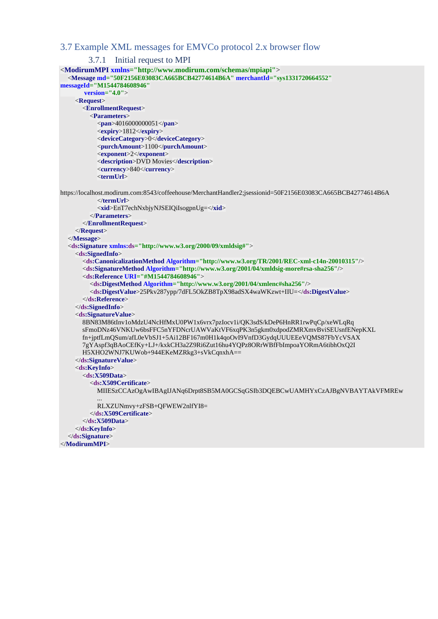### <span id="page-36-0"></span>3.7 Example XML messages for EMVCo protocol 2.x browser flow

```
3.7.1 Initial request to MPI
<ModirumMPI xmlns="http://www.modirum.com/schemas/mpiapi">
   <Message md="50F2156E03083CA665BCB42774614B6A" merchantId="sys1331720664552" 
messageId="M1544784608946"
        version="4.0">
     <Request>
       <EnrollmentRequest>
         <Parameters>
            <pan>4016000000051</pan>
            <expiry>1812</expiry>
            <deviceCategory>0</deviceCategory>
            <purchAmount>1100</purchAmount>
            <exponent>2</exponent>
            <description>DVD Movies</description>
            <currency>840</currency>
            <termUrl>
https://localhost.modirum.com:8543/coffeehouse/MerchantHandler2;jsessionid=50F2156E03083CA665BCB42774614B6A
            </termUrl>
            <xid>EnT7echNxbjyNJSEIQiIsogpnUg=</xid>
          </Parameters>
       </EnrollmentRequest>
     </Request>
   </Message>
   <ds:Signature xmlns:ds="http://www.w3.org/2000/09/xmldsig#">
     <ds:SignedInfo>
       <ds:CanonicalizationMethod Algorithm="http://www.w3.org/TR/2001/REC-xml-c14n-20010315"/>
       <ds:SignatureMethod Algorithm="http://www.w3.org/2001/04/xmldsig-more#rsa-sha256"/>
       <ds:Reference URI="#M1544784608946">
          <ds:DigestMethod Algorithm="http://www.w3.org/2001/04/xmlenc#sha256"/>
          <ds:DigestValue>25Pkv287ypp/7dFL5OkZB8TpX98adSX4waWKzwt+IIU=</ds:DigestValue>
       </ds:Reference>
     </ds:SignedInfo>
     <ds:SignatureValue>
       8BN83M86tInv1oMdzU4NcHfMxU0PW1x6vrx7pzIocv1i/QK3sdS/kDeP6HnRR1rwPqCp/xeWLqRq
       sFmoDNz46VNKUw6bsFFC5nYFDNcrUAWVaKtVF6xqPK3n5gkm0xdpodZMRXmvBviSEUsnfENepKXL
       fn+jptfLmQSum/afL0eVbSJ1+5Ai12BF167m0H1k4qoOvI9VnfD3GydqUUUEEeVQMS87FbYcVSAX
       7gYAspf3qBAoCEfKy+LJ+/kxkCH3a2Z9Ri6Zut16hu4YQPz8ORrWBfFbImpoaYORmA6tibhOxQ2I
       H5XHO2WNJ7KUWob+944EKeMZRkg3+sVkCqnxhA==
     </ds:SignatureValue>
     <ds:KeyInfo>
       <ds:X509Data>
         <ds:X509Certificate>
            MIIESzCCAzOgAwIBAgIJANq6Drpt8SB5MA0GCSqGSIb3DQEBCwUAMHYxCzAJBgNVBAYTAkVFMREw
 ...
            RLXZUNmvy+zFSB+QFWEW2nlfYI8=
          </ds:X509Certificate>
       </ds:X509Data>
     </ds:KeyInfo>
   </ds:Signature>
</ModirumMPI>
```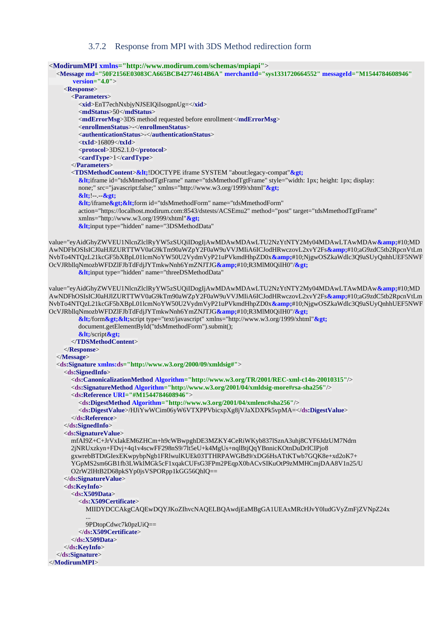#### 3.7.2 Response from MPI with 3DS Method redirection form

```
<ModirumMPI xmlns="http://www.modirum.com/schemas/mpiapi">
   <Message md="50F2156E03083CA665BCB42774614B6A" merchantId="sys1331720664552" messageId="M1544784608946"
        version="4.0">
     <Response>
       <Parameters>
         <xid>EnT7echNxbjyNJSEIQiIsogpnUg=</xid>
         <mdStatus>50</mdStatus>
         <mdErrorMsg>3DS method requested before enrollment</mdErrorMsg>
         <enrollmenStatus>-</enrollmenStatus>
         <authenticationStatus>-</authenticationStatus>
         <txId>16809</txId>
         <protocol>3DS2.1.0</protocol>
         <cardType>1</cardType>
       </Parameters>
      <TDSMethodContent>&It;!DOCTYPE iframe SYSTEM "about:legacy-compat" &gt;
         <iframe id="tdsMmethodTgtFrame" name="tdsMmethodTgtFrame" style="width: 1px; height: 1px; display:
         none;" src="javascript:false;" xmlns="http://www.w3.org/1999/xhtml">
         <!--.-->
         </iframe><form id="tdsMmethodForm" name="tdsMmethodForm"
         action="https://localhost.modirum.com:8543/dstests/ACSEmu2" method="post" target="tdsMmethodTgtFrame"
         xmlns="http://www.w3.org/1999/xhtml">
        &It;input type="hidden" name="3DSMethodData"
value="eyAidGhyZWVEU1NlcnZlclRyYW5zSUQiIDogIjAwMDAwMDAwLTU2NzYtNTY2My04MDAwLTAwMDAw&#10;MD
AwNDFhOSIsICJ0aHJlZURTTWV0aG9kTm90aWZpY2F0aW9uVVJMIiA6ICJodHRwczovL2xvY2Fs&#10;aG9zdC5tb2RpcnVtLm
NvbTo4NTQzL21kcGF5bXBpL01lcmNoYW50U2VydmVyP21uPVkmdHhpZD0x&#10;NjgwOSZkaWdlc3Q9aSUyQnhhUEF5NWF
OcVJRbllqNmozbWFDZlFJbTdFdjJYTmkwNnh6YmZNJTJG&#10;R3MlM0QiIH0"/>
        &It:input type="hidden" name="threeDSMethodData"
value="eyAidGhyZWVEU1NlcnZlclRyYW5zSUQiIDogIjAwMDAwMDAwLTU2NzYtNTY2My04MDAwLTAwMDAw&#10;MD
AwNDFhOSIsICJ0aHJlZURTTWV0aG9kTm90aWZpY2F0aW9uVVJMIiA6ICJodHRwczovL2xvY2Fs&#10;aG9zdC5tb2RpcnVtLm
NvbTo4NTQzL21kcGF5bXBpL01lcmNoYW50U2VydmVyP21uPVkmdHhpZD0x&#10;NjgwOSZkaWdlc3Q9aSUyQnhhUEF5NWF
OcVJRbllqNmozbWFDZlFJbTdFdjJYTmkwNnh6YmZNJTJG&#10;R3MlM0QiIH0"/>
         &lt;/form><script type="text/javascript" xmlns="http://www.w3.org/1999/xhtml"&gt;
         document.getElementById("tdsMmethodForm").submit();
        <lt;/script<gt;
       </TDSMethodContent>
     </Response>
   </Message>
   <ds:Signature xmlns:ds="http://www.w3.org/2000/09/xmldsig#">
     <ds:SignedInfo>
       <ds:CanonicalizationMethod Algorithm="http://www.w3.org/TR/2001/REC-xml-c14n-20010315"/>
       <ds:SignatureMethod Algorithm="http://www.w3.org/2001/04/xmldsig-more#rsa-sha256"/>
       <ds:Reference URI="#M1544784608946">
         <ds:DigestMethod Algorithm="http://www.w3.org/2001/04/xmlenc#sha256"/>
         <ds:DigestValue>/HJiYwWCim06yW6VTXPPVbicxpXg8jVJaXDXPk5vpMA=</ds:DigestValue>
       </ds:Reference>
     </ds:SignedInfo>
     <ds:SignatureValue>
       mfAI9Z+C+JrVxIakEM6ZHCm+h9cWBwpghDE3MZKY4CeRiWKyb837lSznA3uhj8CYF6JdzUM7Ndrn
       2jNRUxzkyn+FDvj+4q1v4scwFF298nS9/7lt5eU+k4MgUs+nqlBtjQqYBnnicKOtnDuDrICIPjo8
       gxwrebBTDtGIexEKwpybpNgb1FRlwulKUEk03TTHRPAWGBd9/xDG6HsATtKTwb7GQK8e+xd2oK7+
       YGpMS2sm6GB1fb3LWklMGk5cF1xqakCUFsG3FPm2PEqpX0bACvSIKuOtP9zMMHCmjDAA8V1n25/U
       O2rW2lHtB2D68pkSYp0jsVSPORpp1kGG56QhlQ==
     </ds:SignatureValue>
     <ds:KeyInfo>
       <ds:X509Data>
         <ds:X509Certificate>
           MIIDYDCCAkgCAQEwDQYJKoZIhvcNAQELBQAwdjEaMBgGA1UEAxMRcHJvY0ludGVyZmFjZVNpZ24x
 ...
           9PDtopCdwc7k0pzUiQ==
         </ds:X509Certificate>
       </ds:X509Data>
     </ds:KeyInfo>
   </ds:Signature>
</ModirumMPI>
```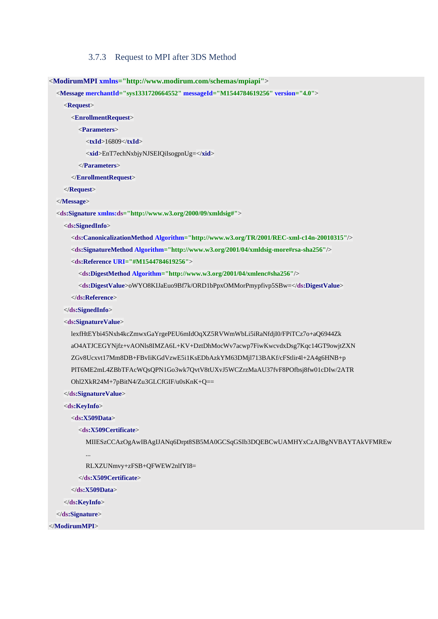#### 3.7.3 Request to MPI after 3DS Method

<span id="page-38-0"></span><**ModirumMPI xmlns="http://www.modirum.com/schemas/mpiapi"**>

```
 <Message merchantId="sys1331720664552" messageId="M1544784619256" version="4.0">
```
<**Request**>

<**EnrollmentRequest**>

<**Parameters**>

<**txId**>16809</**txId**>

<**xid**>EnT7echNxbjyNJSEIQiIsogpnUg=</**xid**>

</**Parameters**>

</**EnrollmentRequest**>

</**Request**>

</**Message**>

<**ds:Signature xmlns:ds="http://www.w3.org/2000/09/xmldsig#"**>

<**ds:SignedInfo**>

<**ds:CanonicalizationMethod Algorithm="http://www.w3.org/TR/2001/REC-xml-c14n-20010315"**/>

<**ds:SignatureMethod Algorithm="http://www.w3.org/2001/04/xmldsig-more#rsa-sha256"**/>

<**ds:Reference URI="#M1544784619256"**>

<**ds:DigestMethod Algorithm="http://www.w3.org/2001/04/xmlenc#sha256"**/>

<**ds:DigestValue**>oWYO8KIJaEuo9Bf7k/ORD1bPpxOMMorPmypfivp5SBw=</**ds:DigestValue**>

</**ds:Reference**>

</**ds:SignedInfo**>

<**ds:SignatureValue**>

 lexfHtEYbi45Nxh4kcZmwxGaYrgePEU6mIdOqXZ5RVWmWbLi5iRaNfdjI0/FPiTCz7o+aQ6944Zk aO4ATJCEGYNjfz+vAONls8IMZA6L+KV+DztDhMocWv7acwp7FiwKwcvdxDsg7Kqc14GT9owjtZXN ZGv8Ucxvt17Mm8DB+FBvIiKGdVzwE5i1KsEDbAzkYM63DMjl713BAKf/cFStlir4l+2A4g6HNB+p PlT6ME2mL4ZBbTFAcWQsQPN1Go3wk7QvtV8tUXvJ5WCZrzMaAU37fvF8POfbsj8fw01cDIw/2ATR Ohl2XkR24M+7pBitN4/Zu3GLCfGIF/u0sKnK+Q==

</**ds:SignatureValue**>

<**ds:KeyInfo**>

<**ds:X509Data**>

<**ds:X509Certificate**>

MIIESzCCAzOgAwIBAgIJANq6Drpt8SB5MA0GCSqGSIb3DQEBCwUAMHYxCzAJBgNVBAYTAkVFMREw

...

RLXZUNmvy+zFSB+QFWEW2nlfYI8=

</**ds:X509Certificate**>

</**ds:X509Data**>

</**ds:KeyInfo**>

</**ds:Signature**>

</**ModirumMPI**>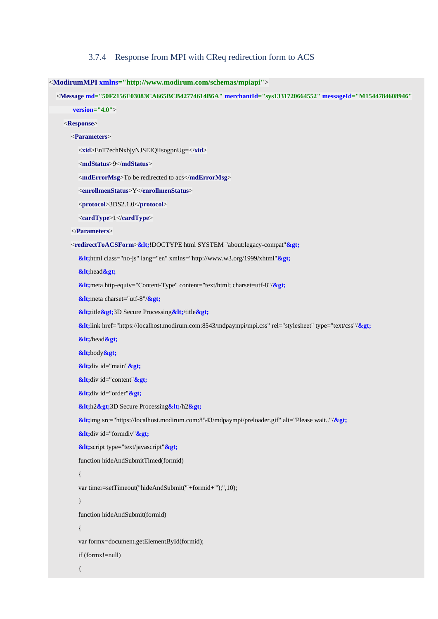#### 3.7.4 Response from MPI with CReq redirection form to ACS

#### <span id="page-39-0"></span><**ModirumMPI xmlns="http://www.modirum.com/schemas/mpiapi"**>

 <**Message md="50F2156E03083CA665BCB42774614B6A" merchantId="sys1331720664552" messageId="M1544784608946" version="4.0"**>

#### <**Response**>

#### <**Parameters**>

<**xid**>EnT7echNxbjyNJSEIQiIsogpnUg=</**xid**>

```
 <mdStatus>9</mdStatus>
```
<**mdErrorMsg**>To be redirected to acs</**mdErrorMsg**>

<**enrollmenStatus**>Y</**enrollmenStatus**>

<**protocol**>3DS2.1.0</**protocol**>

```
 <cardType>1</cardType>
```

```
 </Parameters>
```
<**redirectToACSForm>&lt**;!DOCTYPE html SYSTEM "about:legacy-compat">

 $&$ lt;html class="no-js" lang="en" xmlns="http://www.w3.org/1999/xhtml" $&$ gt;

 $&$ **lt**; head  $&$ gt;

 $&$ lt;meta http-equiv="Content-Type" content="text/html; charset=utf-8"/ $&$ gt;

 $&$ **lt**; meta charset="utf-8"/ $&$ gt;

**&It;title>3D Secure Processing &It;/title>** 

**<**link href="https://localhost.modirum.com:8543/mdpaympi/mpi.css" rel="stylesheet" type="text/css"/**>**

 $&$ **klt**;/head $&$ gt;

 $&$ **lt**;body $&$ gt;

*&***It;**div id="main" *&gt*;

**&It;**div id="content" **>** 

**&It**; div id="order" **&gt**;

 $k$ lt;h2 $k$ gt;3D Secure Processing $k$ lt;/h2 $k$ gt;

 $&$ lt;img src="https://localhost.modirum.com:8543/mdpaympi/preloader.gif" alt="Please wait.."/ $&$ gt;

 $&$ **lt**; div id="formdiv" $&$ **gt**;

**&It**;script type="text/javascript" **&gt**;

function hideAndSubmitTimed(formid)

#### $\left\{ \begin{array}{cc} 0 & 0 & 0 \\ 0 & 0 & 0 \\ 0 & 0 & 0 \\ 0 & 0 & 0 \\ 0 & 0 & 0 \\ 0 & 0 & 0 \\ 0 & 0 & 0 \\ 0 & 0 & 0 \\ 0 & 0 & 0 \\ 0 & 0 & 0 \\ 0 & 0 & 0 \\ 0 & 0 & 0 \\ 0 & 0 & 0 & 0 \\ 0 & 0 & 0 & 0 \\ 0 & 0 & 0 & 0 \\ 0 & 0 & 0 & 0 & 0 \\ 0 & 0 & 0 & 0 & 0 \\ 0 & 0 & 0 & 0 & 0 \\ 0 & 0 & 0 & 0 & 0 & 0 \\ 0$

var timer=setTimeout("hideAndSubmit('"+formid+"');",10);

#### }

function hideAndSubmit(formid)

#### $\left\{ \begin{array}{cc} 0 & 0 & 0 \\ 0 & 0 & 0 \\ 0 & 0 & 0 \\ 0 & 0 & 0 \\ 0 & 0 & 0 \\ 0 & 0 & 0 \\ 0 & 0 & 0 \\ 0 & 0 & 0 \\ 0 & 0 & 0 \\ 0 & 0 & 0 \\ 0 & 0 & 0 \\ 0 & 0 & 0 & 0 \\ 0 & 0 & 0 & 0 \\ 0 & 0 & 0 & 0 \\ 0 & 0 & 0 & 0 & 0 \\ 0 & 0 & 0 & 0 & 0 \\ 0 & 0 & 0 & 0 & 0 \\ 0 & 0 & 0 & 0 & 0 \\ 0 & 0 & 0 & 0 & 0$

var formx=document.getElementById(formid);

if (formx!=null)

{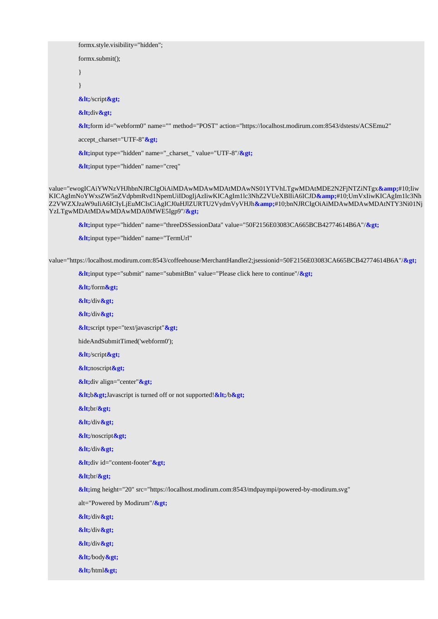formx.style.visibility="hidden"; formx.submit(); } }  $&$ It;/script $&$ gt;  $&$ **lt**; div $&$ gt; **<**form id="webform0" name="" method="POST" action="https://localhost.modirum.com:8543/dstests/ACSEmu2" accept\_charset="UTF-8"**>**  $&$ lt;input type="hidden" name="\_charset\_" value="UTF-8"/ $&$ gt; **&It;input type="hidden" name="creq"** 

value="ewogICAiYWNzVHJhbnNJRCIgOiAiMDAwMDAwMDAtMDAwNS01YTVhLTgwMDAtMDE2N2FjNTZiNTgx**&**#10;Iiw KICAgImNoYWxsZW5nZVdpbmRvd1NpemUiIDogIjAzIiwKICAgIm1lc3NhZ2VUeXBlIiA6ICJD**&**#10;UmVxIiwKICAgIm1lc3Nh Z2VWZXJzaW9uIiA6ICIyLjEuMCIsCiAgICJ0aHJlZURTU2VydmVyVHJh**&**#10;bnNJRCIgOiAiMDAwMDAwMDAtNTY3Ni01Nj YzLTgwMDAtMDAwMDAwMDA0MWE5Igp9"/**>** 

**<**input type="hidden" name="threeDSSessionData" value="50F2156E03083CA665BCB42774614B6A"/**>**

*&***It**;input type="hidden" name="TermUrl"

value="https://localhost.modirum.com:8543/coffeehouse/MerchantHandler2;jsessionid=50F2156E03083CA665BCB42774614B6A"/>

**&It;**input type="submit" name="submitBtn" value="Please click here to continue"/ **>** 

 $&$ **lt**;/form $&$ gt;  $&$ lt;/div $&$ gt;  $&$ lt;/div $&$ gt; **&It**;script type="text/javascript" **&gt**; hideAndSubmitTimed('webform0');  $&$ **lt**;/script $&$ gt;  $&$ **lt**;noscript $&$ gt; **&It**; div align="center" **&gt**; **&lt**; b> Javascript is turned off or not supported! </b&gt;  $&$ **lt**;br/ $&$ gt;  $&$ lt;/div $&$ gt;  $<$ **lt**;/noscript $<$ gt;  $&$ lt;/div $&$ gt; **&It**; div id="content-footer" **&gt**;  $&$  klt; br/ $&$  gt; **<**img height="20" src="https://localhost.modirum.com:8543/mdpaympi/powered-by-modirum.svg" alt="Powered by Modirum"/**>**  $&$ lt;/div $&$ gt;  $&$ lt;/div $&$ gt;  $&$ lt;/div $&$ gt;  $&$ **lt**;/body $&$ gt;  $&$ lt;/html $&$ gt;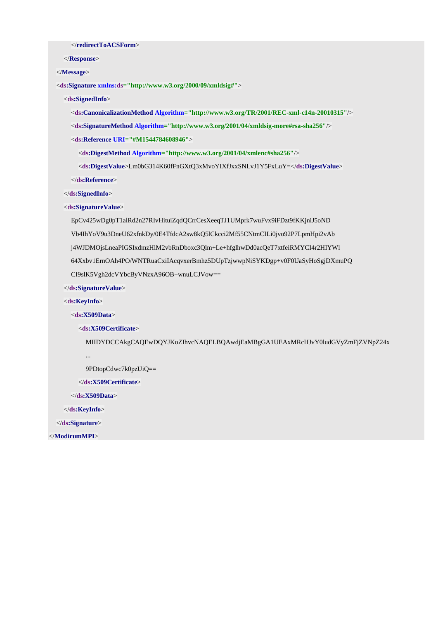</**redirectToACSForm**>

</**Response**>

</**Message**>

<**ds:Signature xmlns:ds="http://www.w3.org/2000/09/xmldsig#"**>

<**ds:SignedInfo**>

<**ds:CanonicalizationMethod Algorithm="http://www.w3.org/TR/2001/REC-xml-c14n-20010315"**/>

<**ds:SignatureMethod Algorithm="http://www.w3.org/2001/04/xmldsig-more#rsa-sha256"**/>

<**ds:Reference URI="#M1544784608946"**>

<**ds:DigestMethod Algorithm="http://www.w3.org/2001/04/xmlenc#sha256"**/>

<**ds:DigestValue**>Lm0bG314K60fFnGXtQ3xMvoYIXfJxxSNLvJ1Y5FxLuY=</**ds:DigestValue**>

</**ds:Reference**>

</**ds:SignedInfo**>

<**ds:SignatureValue**>

 EpCv425wDg0pT1alRd2n27RIvHituiZqdQCrrCesXeeqTJ1UMprk7wuFvx9iFDzt9fKKjniJ5oND Vb4IhYoV9u3DneU62xfnkDy/0E4TfdcA2sw8kQ5lCkcci2Mf55CNtmCILi0jvo92P7LpmHpi2vAb j4WJDMOjsLneaPIGSIxdmzHlM2vbRnDboxc3Qlm+Le+hfglhwDd0acQeT7xtfeiRMYCI4r2HIYWl 64Xxbv1ErnOAh4PO/WNTRuaCxiIAcqvxerBmhz5DUpTzjwwpNiSYKDgp+v0F0UaSyHoSgjDXmuPQ CI9slK5Vgh2dcVYbcByVNzxA96OB+wnuLCJVow==

</**ds:SignatureValue**>

<**ds:KeyInfo**>

<**ds:X509Data**>

<**ds:X509Certificate**>

MIIDYDCCAkgCAQEwDQYJKoZIhvcNAQELBQAwdjEaMBgGA1UEAxMRcHJvY0ludGVyZmFjZVNpZ24x

...

9PDtopCdwc7k0pzUiQ==

</**ds:X509Certificate**>

</**ds:X509Data**>

</**ds:KeyInfo**>

</**ds:Signature**>

</**ModirumMPI**>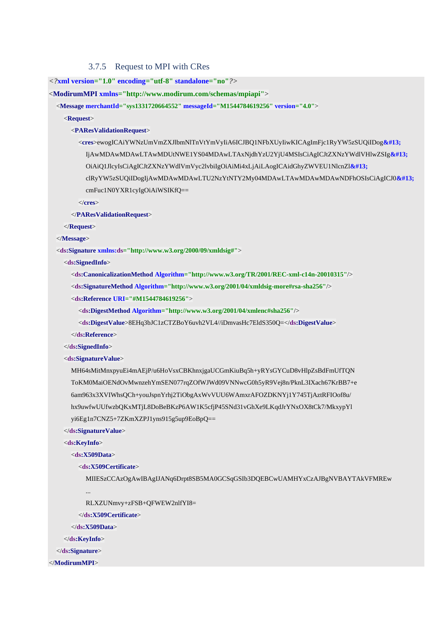#### 3.7.5 Request to MPI with CRes

<span id="page-42-0"></span>*<?***xml version="1.0" encoding="utf-8" standalone="no"***?>*

<**ModirumMPI xmlns="http://www.modirum.com/schemas/mpiapi"**>

<**Message merchantId="sys1331720664552" messageId="M1544784619256" version="4.0"**>

<**Request**>

<**PAResValidationRequest**>

 <**cres**>ewogICAiYWNzUmVmZXJlbmNlTnVtYmVyIiA6ICJBQ1NFbXUyIiwKICAgImFjc1RyYW5zSUQiIDog IjAwMDAwMDAwLTAwMDUtNWE1YS04MDAwLTAxNjdhYzU2YjU4MSIsCiAgICJtZXNzYWdlVHlwZSIg OiAiQ1JlcyIsCiAgICJtZXNzYWdlVmVyc2lvbiIgOiAiMi4xLjAiLAogICAidGhyZWVEU1NlcnZl clRyYW5zSUQiIDogIjAwMDAwMDAwLTU2NzYtNTY2My04MDAwLTAwMDAwMDAwNDFhOSIsCiAgICJ0 cmFuc1N0YXR1cyIgOiAiWSIKfQ==

</**cres**>

</**PAResValidationRequest**>

</**Request**>

</**Message**>

<**ds:Signature xmlns:ds="http://www.w3.org/2000/09/xmldsig#"**>

<**ds:SignedInfo**>

<**ds:CanonicalizationMethod Algorithm="http://www.w3.org/TR/2001/REC-xml-c14n-20010315"**/>

<**ds:SignatureMethod Algorithm="http://www.w3.org/2001/04/xmldsig-more#rsa-sha256"**/>

<**ds:Reference URI="#M1544784619256"**>

<**ds:DigestMethod Algorithm="http://www.w3.org/2001/04/xmlenc#sha256"**/>

<**ds:DigestValue**>8EHq3bJC1zCTZBoY6uvh2VL4//iDmvasHc7EldS350Q=</**ds:DigestValue**>

</**ds:Reference**>

</**ds:SignedInfo**>

<**ds:SignatureValue**>

 MH64sMitMnxpyuEi4mAEjP/u6HoVsxCBKhnxjgaUCGmKiuBq5h+yRYsGYCuD8vHlpZsBdFmUfTQN ToKM0MaiOENdOvMwnzehYmSEN077rqZOfWJWd09VNNwcG0h5yR9Vej8n/PknL3IXach67KrBB7+e 6am963x3XVIWhsQCh+youJspnYrhj2TiObgAxWvVUU6WAmxrAFOZDKNYj1Y745TjAztRFIOof8u/ hx9uwfwUUfwzbQKxMTjL8DoBeBKzP6AW1K5cfjP45SNd31vGhXe9LKqdJrYNxOX8tCk7/MkxypYl yi6Eg1n7CNZ5+7ZKmXZPJ1yns915g5up9EoBpQ==

</**ds:SignatureValue**>

<**ds:KeyInfo**>

<**ds:X509Data**>

<**ds:X509Certificate**>

MIIESzCCAzOgAwIBAgIJANq6Drpt8SB5MA0GCSqGSIb3DQEBCwUAMHYxCzAJBgNVBAYTAkVFMREw

...

RLXZUNmvy+zFSB+QFWEW2nlfYI8=

</**ds:X509Certificate**>

</**ds:X509Data**>

</**ds:KeyInfo**>

</**ds:Signature**>

</**ModirumMPI**>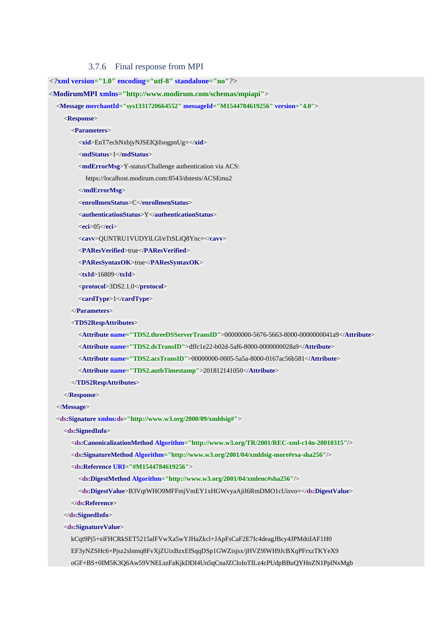3.7.6 Final response from MPI

<span id="page-43-0"></span>*<?***xml version="1.0" encoding="utf-8" standalone="no"***?>*

<**ModirumMPI xmlns="http://www.modirum.com/schemas/mpiapi"**>

<**Message merchantId="sys1331720664552" messageId="M1544784619256" version="4.0"**>

<**Response**>

<**Parameters**>

<**xid**>EnT7echNxbjyNJSEIQiIsogpnUg=</**xid**>

<**mdStatus**>1</**mdStatus**>

<**mdErrorMsg**>Y-status/Challenge authentication via ACS:

https://localhost.modirum.com:8543/dstests/ACSEmu2

</**mdErrorMsg**>

<**enrollmenStatus**>C</**enrollmenStatus**>

<**authenticationStatus**>Y</**authenticationStatus**>

<**eci**>05</**eci**>

<**cavv**>QUNTRU1VUDYlLGl/eTtSLiQ8Ync=</**cavv**>

<**PAResVerified**>true</**PAResVerified**>

<**PAResSyntaxOK**>true</**PAResSyntaxOK**>

<**txId**>16809</**txId**>

<**protocol**>3DS2.1.0</**protocol**>

<**cardType**>1</**cardType**>

</**Parameters**>

<**TDS2RespAttributes**>

<**Attribute name="TDS2.threeDSServerTransID"**>00000000-5676-5663-8000-0000000041a9</**Attribute**>

<**Attribute name="TDS2.dsTransID"**>dffc1e22-b02d-5af6-8000-0000000028a9</**Attribute**>

<**Attribute name="TDS2.acsTransID"**>00000000-0005-5a5a-8000-0167ac56b581</**Attribute**>

<**Attribute name="TDS2.authTimestamp"**>201812141050</**Attribute**>

</**TDS2RespAttributes**>

</**Response**>

</**Message**>

<**ds:Signature xmlns:ds="http://www.w3.org/2000/09/xmldsig#"**>

<**ds:SignedInfo**>

<**ds:CanonicalizationMethod Algorithm="http://www.w3.org/TR/2001/REC-xml-c14n-20010315"**/>

<**ds:SignatureMethod Algorithm="http://www.w3.org/2001/04/xmldsig-more#rsa-sha256"**/>

<**ds:Reference URI="#M1544784619256"**>

<**ds:DigestMethod Algorithm="http://www.w3.org/2001/04/xmlenc#sha256"**/>

<**ds:DigestValue**>B3VqtWHO9MFFmjVmEY1xHGWvyaAjiI6RmDMO1cUisvo=</**ds:DigestValue**>

</**ds:Reference**>

</**ds:SignedInfo**>

<**ds:SignatureValue**>

 kCqt9Pj5+siFHCRkSET5215alFVwXa5wYJHaZkcl+JApFsCaF2E7Ic4deagJBcy4JPMdtiIAF1H0 EF3yNZSHc6+Pjsz2slnmq8FvXjZUixBzxEfSqqDSp1GWZisjsx/jHVZ9lWH9JcBXqPFrxzTKYeX9

oGF+BS+0IM5K3Q6Aw59VNELszFaKjkDDI4Un5qCnaJZCloIoTILz4cPUdpBBuQYHnZN1PplNxMgb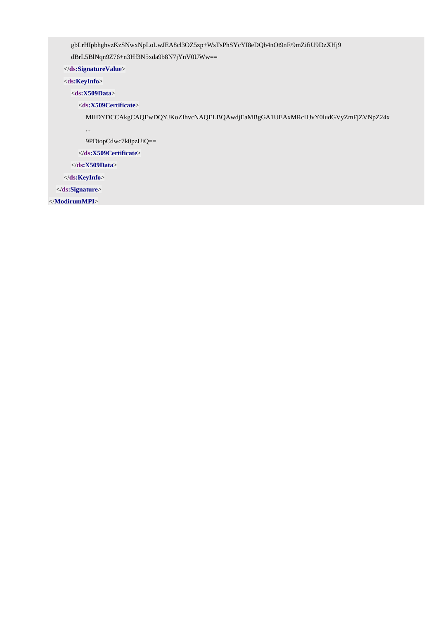gbLrHIpbhghvzKzSNwxNpLoLwJEA8cl3OZ5zp+WsTsPhSYcYI8eDQb4nOt9nF/9mZifiU9DzXHj9

dBrL5BlNqn9Z76+n3Hf3N5xda9b8N7jYnV0UWw==

</**ds:SignatureValue**>

<**ds:KeyInfo**>

<**ds:X509Data**>

<**ds:X509Certificate**>

MIIDYDCCAkgCAQEwDQYJKoZIhvcNAQELBQAwdjEaMBgGA1UEAxMRcHJvY0ludGVyZmFjZVNpZ24x

...

9PDtopCdwc7k0pzUiQ==

</**ds:X509Certificate**>

</**ds:X509Data**>

</**ds:KeyInfo**>

</**ds:Signature**>

</**ModirumMPI**>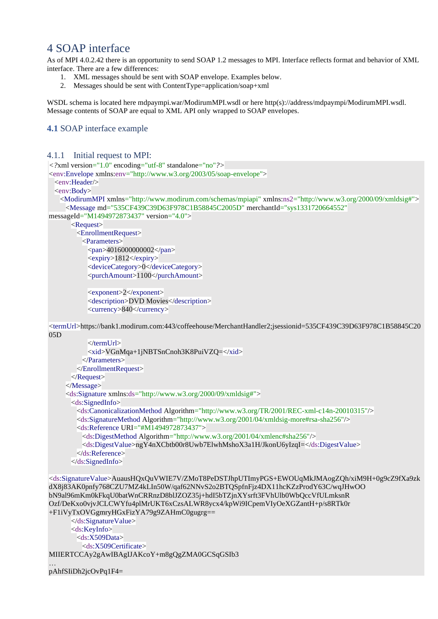## <span id="page-45-0"></span>4 SOAP interface

As of MPI 4.0.2.42 there is an opportunity to send SOAP 1.2 messages to MPI. Interface reflects format and behavior of XML interface. There are a few differences:

- 1. XML messages should be sent with SOAP envelope. Examples below.
- 2. Messages should be sent with ContentType=application/soap+xml

WSDL schema is located here mdpaympi.war/ModirumMPI.wsdl or here http(s)://address/mdpaympi/ModirumMPI.wsdl. Message contents of SOAP are equal to XML API only wrapped to SOAP envelopes.

### <span id="page-45-1"></span>**4.1** SOAP interface example

```
4.1.1 Initial request to MPI:
```
*<?*xml version="1.0" encoding="utf-8" standalone="no"*?>*

<env:Envelope xmlns:env="http://www.w3.org/2003/05/soap-envelope">

<env:Header/>

<env:Body>

```
 <ModirumMPI xmlns="http://www.modirum.com/schemas/mpiapi" xmlns:ns2="http://www.w3.org/2000/09/xmldsig#">
  <Message md="535CF439C39D63F978C1B58845C2005D" merchantId="sys1331720664552"
```

```
messageId="M1494972873437" version="4.0">
```
 <Request> <EnrollmentRequest> <Parameters> <pan>4016000000002</pan> <expiry>1812</expiry> <deviceCategory>0</deviceCategory> <purchAmount>1100</purchAmount>

```
 <exponent>2</exponent>
 <description>DVD Movies</description>
 <currency>840</currency>
```
<termUrl>https://bank1.modirum.com:443/coffeehouse/MerchantHandler2;jsessionid=535CF439C39D63F978C1B58845C20 05D

```
 </termUrl>
       <xid>VGnMqa+1jNBTSnCnoh3K8PuiVZQ=</xid>
      </Parameters>
    </EnrollmentRequest>
  </Request>
 </Message>
 <ds:Signature xmlns:ds="http://www.w3.org/2000/09/xmldsig#">
  <ds:SignedInfo>
    <ds:CanonicalizationMethod Algorithm="http://www.w3.org/TR/2001/REC-xml-c14n-20010315"/>
    <ds:SignatureMethod Algorithm="http://www.w3.org/2001/04/xmldsig-more#rsa-sha256"/>
    <ds:Reference URI="#M1494972873437">
      <ds:DigestMethod Algorithm="http://www.w3.org/2001/04/xmlenc#sha256"/>
      <ds:DigestValue>ngY4nXCbtb00r8Uwb7ElwhMshoX3a1H/JkonU6yIzqI=</ds:DigestValue>
    </ds:Reference>
  </ds:SignedInfo>
```

```
<ds:SignatureValue>AuausHQxQuVWIE7V/ZMoT8PeDSTJhpUTImyPGS+EWOUqMkJMAogZQh/xiM9H+0g9cZ9fXa9zk
dX8j83AK0pnfy768CZU7MZ4kLIn50W/qaf62NNvS2o2BTQSpfnFjz4DX11hcKZzProdY63C/wqJHwOO 
bN9al96mKm0kFkqU0batWnCRRnzD8blJZOZ35j+hdI5bTZjnXYsrft3FVhUlb0WbQccVfULmksnR 
Ozf/DeKxo0vjvJCLCWYfu4plMrUKT6xCzsALWR8ycx4/kpWi9ICpemVIyOeXGZantH+p/s8RTk0r 
+F1iVyTxOVGgmryHGxFizYA79g9ZAHmC0gugrg==
      </ds:SignatureValue>
      <ds:KeyInfo>
```
 <ds:X509Data> <ds:X509Certificate> MIIERTCCAy2gAwIBAgIJAKcoY+m8gQgZMA0GCSqGSIb3

… pAhfSIiDh2jcOvPq1F4=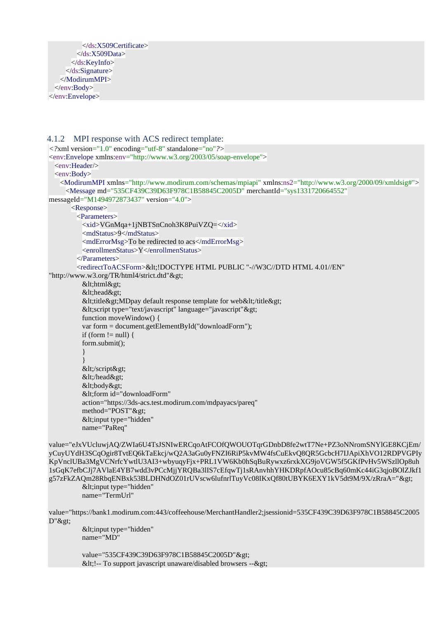```
 </ds:X509Certificate>
         </ds:X509Data>
       </ds:KeyInfo>
      </ds:Signature>
    </ModirumMPI>
  </env:Body>
</env:Envelope>
```
#### <span id="page-46-0"></span>4.1.2 MPI response with ACS redirect template: *<?*xml version="1.0" encoding="utf-8" standalone="no"*?>* <env:Envelope xmlns:env="http://www.w3.org/2003/05/soap-envelope"> <env:Header/> <env:Body> <ModirumMPI xmlns="http://www.modirum.com/schemas/mpiapi" xmlns:ns2="http://www.w3.org/2000/09/xmldsig#"> <Message md="535CF439C39D63F978C1B58845C2005D" merchantId="sys1331720664552" messageId="M1494972873437" version="4.0"> <Response> <Parameters> <xid>VGnMqa+1jNBTSnCnoh3K8PuiVZQ=</xid> <mdStatus>9</mdStatus> <mdErrorMsg>To be redirected to acs</mdErrorMsg> <enrollmenStatus>Y</enrollmenStatus> </Parameters> <redirectToACSForm>&lt;!DOCTYPE HTML PUBLIC "-//W3C//DTD HTML 4.01//EN" "http://www.w3.org/TR/html4/strict.dtd"> <html&gt; <head&gt; <title&gt;MDpay default response template for web&lt;/title&gt; <script type="text/javascript" language="javascript"&gt; function moveWindow() { var form = document.getElementById("downloadForm"); if (form  $!=$  null) { form.submit(); } } </script&gt; &lt:/head&gt: <body&gt; <form id="downloadForm" action="https://3ds-acs.test.modirum.com/mdpayacs/pareq" method="POST"> <input type="hidden" name="PaReq" value="eJxVUcluwjAQ/ZWIa6U4TsJSNIwERCqoAtFCOfQWOUOTqrGDnbD8fe2wtT7Ne+PZ3oNNromSNYlGE8KCjEm/

yCuyUYdH3SCqOgir8TvtEQ6kTaEkcj/wQ2A3aGu0yFNZI6RiP5kvMW4fsCuEkvQ8QR5GcbcH7IJApiXhVO12RDPVGPIy KpVnclUBa3MgVCNrfcYwtlU3AI3+wbyuqyFjx+PRL1VW6Kb0hSqBuRywxz6rxkXG9joVGW5f5GKfPvHv5WSzllOp8uh 1sGqK7efbCJj7AVlaE4YB7wdd3vPCcMjjYRQBa3lIS7cEfqwTj1sRAnvhhYHKDRpfAOcu85cBq60mKc44iG3qjoBOlZJkf1 g57zFkZAQm28RbqENBxk53BLDHNdOZ01rUVscw6lufnrlTuyVc08IKxQf80tUBYK6EXY1kV5dt9M/9X/zRraA="> <input type="hidden" name="TermUrl"

value="https://bank1.modirum.com:443/coffeehouse/MerchantHandler2;jsessionid=535CF439C39D63F978C1B58845C2005 D">

 $&$ lt; input type="hidden" name="MD"

value="535CF439C39D63F978C1B58845C2005D"> <!-- To support javascript unaware/disabled browsers --&gt;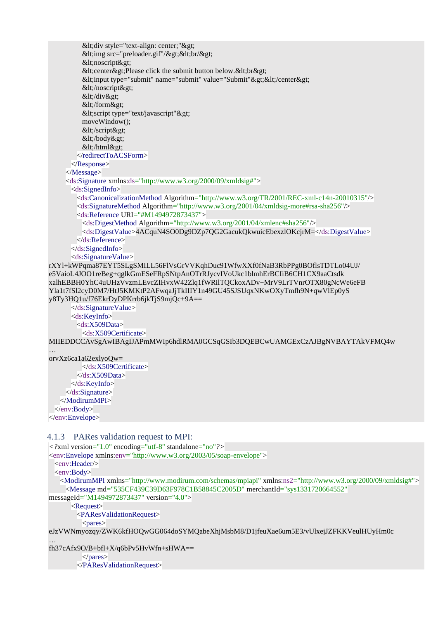```
&dt;div style="text-align: center;">gt;&dt;img src="preloader.gif"/&dt;&dt;&dt;&dt;
         <noscript&gt;
         &It;center>Please click the submit button below.&It;br>
         <input type="submit" name="submit" value="Submit"&gt;&lt;/center&gt;
         <lt;/noscript<gt;
         &dt:/div>gt:
         </form&gt;
         &dt; script type="text/javascript"&dt;
          moveWindow();
         </script&gt;
         </body&gt;
         </html&gt;
        </redirectToACSForm>
       </Response>
     </Message>
     <ds:Signature xmlns:ds="http://www.w3.org/2000/09/xmldsig#">
       <ds:SignedInfo>
         <ds:CanonicalizationMethod Algorithm="http://www.w3.org/TR/2001/REC-xml-c14n-20010315"/>
         <ds:SignatureMethod Algorithm="http://www.w3.org/2001/04/xmldsig-more#rsa-sha256"/>
         <ds:Reference URI="#M1494972873437">
          <ds:DigestMethod Algorithm="http://www.w3.org/2001/04/xmlenc#sha256"/>
          <ds:DigestValue>4ACquN4SO0Dg9DZp7QG2GacukQkwuicEbexzlOKcjrM=</ds:DigestValue>
         </ds:Reference>
       </ds:SignedInfo>
       <ds:SignatureValue>
rXYl+kWPqma87EYT5SLgSMILL56FlVsGrVVKqhDuc91WfwXXf0fNaB3RbPPg0BOflsTDTLo04UJ/ 
e5VaioL4JOO1reBeg+qglkGmESeFRpSNtpAnOTrRJycvIVoUkc1blmhErBCIiB6CH1CX9aaCtsdk 
xalhEBBH0YhC4uUHzVvzmLEvcZIHvxW42Zlq1fWRilTQCkoxADv+MrV9LrTVnrOTX80gNcWe6eFB 
Yla1t7fSl2cyD0M7/HtJ5KMKtP2AFwqaJjTkIIIY1n49GU45SJSUqxNKwOXyTmfh9N+qwVlEp0yS
y8Ty3HQ1u/f76EkrDyDPKrrb6jkTjS9mjQc+9A==
       </ds:SignatureValue>
       <ds:KeyInfo>
         <ds:X509Data>
          <ds:X509Certificate> 
MIIEDDCCAvSgAwIBAgIJAPmMWIp6hdlRMA0GCSqGSIb3DQEBCwUAMGExCzAJBgNVBAYTAkVFMQ4w
…
orvXz6ca1a62exlyoQw=
          </ds:X509Certificate>
         </ds:X509Data>
       </ds:KeyInfo>
     </ds:Signature>
    </ModirumMPI>
  </env:Body>
```

```
</env:Envelope>
```
#### <span id="page-47-0"></span>4.1.3 PARes validation request to MPI:

```
<?xml version="1.0" encoding="utf-8" standalone="no"?>
<env:Envelope xmlns:env="http://www.w3.org/2003/05/soap-envelope">
 <env:Header/>
  <env:Body>
    <ModirumMPI xmlns="http://www.modirum.com/schemas/mpiapi" xmlns:ns2="http://www.w3.org/2000/09/xmldsig#">
      <Message md="535CF439C39D63F978C1B58845C2005D" merchantId="sys1331720664552" 
messageId="M1494972873437" version="4.0">
       <Request>
         <PAResValidationRequest>
         <pares>
```
eJzVWNmyozqy/ZWK6kfHOQwGG064doSYMQabeXhjMsbM8/D1jfeuXae6um5E3/vUlxejJZFKKVeulHUyHm0c

… fh37cAfx9O/B+bfl+X/q6bPv5HvWfn+sHWA==

```
 </pares>
 </PAResValidationRequest>
```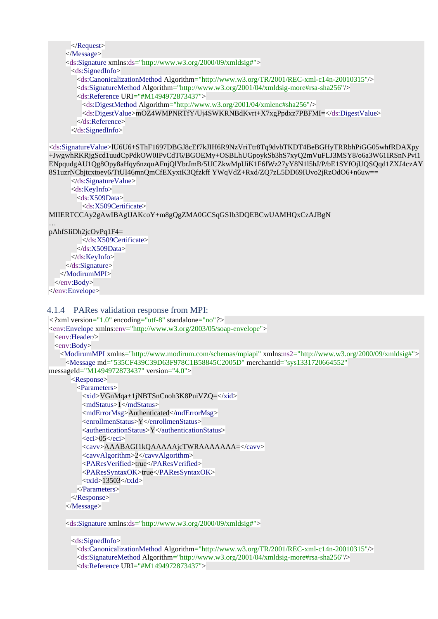```
 </Request>
```

```
 </Message>
```

```
 <ds:Signature xmlns:ds="http://www.w3.org/2000/09/xmldsig#">
  <ds:SignedInfo>
    <ds:CanonicalizationMethod Algorithm="http://www.w3.org/TR/2001/REC-xml-c14n-20010315"/>
    <ds:SignatureMethod Algorithm="http://www.w3.org/2001/04/xmldsig-more#rsa-sha256"/>
    <ds:Reference URI="#M1494972873437">
     <ds:DigestMethod Algorithm="http://www.w3.org/2001/04/xmlenc#sha256"/>
     <ds:DigestValue>mOZ4WMPNRTfY/Uj4SWKRNBdKvrt+X7xgPpdxz7PBFMI=</ds:DigestValue>
    </ds:Reference>
  </ds:SignedInfo>
```
<ds:SignatureValue>lU6U6+SThF1697DBGJ8cEf7kJIH6R9NzVriTtr8Tq9dvbTKDT4BeBGHyTRRbhPiGG05whfRDAXpy +JwgwhRKRjgScd1uudCpPdkOW0IPvCdT6/BGOEMy+OSBLhUGpoykSb3hS7xyQ2mVuFLJ3MSY8/o6a3W61IRSnNPvi1 ENpqudgAU1Qg8Opy8aHqy6nzquAFnjQlYbrJmB/5UCZkwMpUiK1F6fWz27yY8N1l5hJ/P/bE1SYfOjUQSQqd1ZXJ4czAY 8S1uzrNCbjtcxtoev6/TtUI46mnQmCfEXyxtK3Qfzkff YWqVdZ+Rxd/ZQ7zL5DD69IUvo2jRzOdO6+n6uw==

```
 </ds:SignatureValue>
 <ds:KeyInfo>
```
<ds:X509Data>

```
 <ds:X509Certificate>
```
MIIERTCCAy2gAwIBAgIJAKcoY+m8gQgZMA0GCSqGSIb3DQEBCwUAMHQxCzAJBgN

```
…
pAhfSIiDh2jcOvPq1F4=
```

```
 </ds:X509Certificate>
         \langle ds: X509Data \rangle </ds:KeyInfo>
      </ds:Signature>
    </ModirumMPI>
  </env:Body>
</env:Envelope>
```
### <span id="page-48-0"></span>4.1.4 PARes validation response from MPI:

```
<?xml version="1.0" encoding="utf-8" standalone="no"?>
```
<env:Envelope xmlns:env="http://www.w3.org/2003/05/soap-envelope">

```
<env:Header/>
```

```
 <env:Body>
```
 <ModirumMPI xmlns="http://www.modirum.com/schemas/mpiapi" xmlns:ns2="http://www.w3.org/2000/09/xmldsig#"> <Message md="535CF439C39D63F978C1B58845C2005D" merchantId="sys1331720664552"

```
messageId="M1494972873437" version="4.0">
```

```
 <Response>
  <Parameters>
    <xid>VGnMqa+1jNBTSnCnoh3K8PuiVZQ=</xid>
   <mdStatus>1</mdStatus>
    <mdErrorMsg>Authenticated</mdErrorMsg>
    <enrollmenStatus>Y</enrollmenStatus>
    <authenticationStatus>Y</authenticationStatus>
   <eci>05</eci>
    <cavv>AAABAGI1kQAAAAAjcTWRAAAAAAA=</cavv>
    <cavvAlgorithm>2</cavvAlgorithm>
    <PAResVerified>true</PAResVerified>
    <PAResSyntaxOK>true</PAResSyntaxOK>
    <txId>13503</txId>
  </Parameters>
 </Response>
```

```
 </Message>
```
<ds:Signature xmlns:ds="http://www.w3.org/2000/09/xmldsig#">

```
 <ds:SignedInfo>
```

```
 <ds:CanonicalizationMethod Algorithm="http://www.w3.org/TR/2001/REC-xml-c14n-20010315"/>
 <ds:SignatureMethod Algorithm="http://www.w3.org/2001/04/xmldsig-more#rsa-sha256"/>
 <ds:Reference URI="#M1494972873437">
```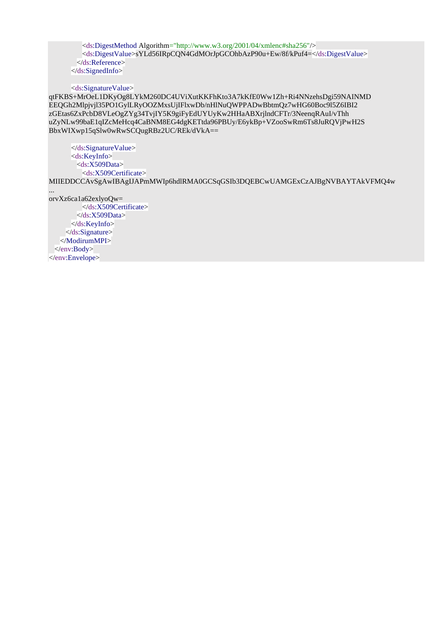<ds:DigestMethod Algorithm="http://www.w3.org/2001/04/xmlenc#sha256"/> <ds:DigestValue>sYLd56IRpCQN4GdMOrJpGCOhbAzP90u+Ew/8f/kPuf4=</ds:DigestValue> </ds:Reference> </ds:SignedInfo>

<ds:SignatureValue>

qtFKBS+MrOeL1DKyOg8LYkM260DC4UViXutKKFhKto3A7kKfE0Ww1Zh+Ri4NNzehsDgi59NAINMD EEQGh2Mlpjvjl35PO1GylLRyOOZMxsUjIFlxwDb/nHlNuQWPPADwBbtmQz7wHG60Boc9l5Z6IBI2 zGEtas6ZxPcbD8VLeOgZYg34TvjIY5K9giFyEdUYUyKw2HHaABXrjlndCFTr/3NeenqRAuI/vThh uZyNLw99baE1qIZcMeHcq4CaBNM8EG4dgKETtda96PBUy/E6ykBp+VZooSwRm6Ts8JuRQVjPwH2S BbxWIXwp15qSlw0wRwSCQugRBz2UC/REk/dVkA==

 </ds:SignatureValue> <ds:KeyInfo> <ds:X509Data> <ds:X509Certificate>

MIIEDDCCAvSgAwIBAgIJAPmMWIp6hdlRMA0GCSqGSIb3DQEBCwUAMGExCzAJBgNVBAYTAkVFMQ4w

orvXz6ca1a62exlyoQw= </ds:X509Certificate>  $\langle ds: X509Data \rangle$  </ds:KeyInfo> </ds:Signature> </ModirumMPI> </env:Body> </env:Envelope>

...